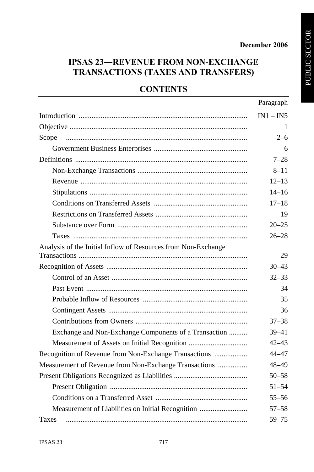|                                                               | Paragraph   |
|---------------------------------------------------------------|-------------|
|                                                               | $IN1 - IN5$ |
|                                                               | 1           |
| Scope                                                         | $2 - 6$     |
|                                                               | 6           |
|                                                               | $7 - 28$    |
|                                                               | $8 - 11$    |
|                                                               | $12 - 13$   |
|                                                               | $14 - 16$   |
|                                                               | $17 - 18$   |
|                                                               | 19          |
|                                                               | $20 - 25$   |
|                                                               | $26 - 28$   |
| Analysis of the Initial Inflow of Resources from Non-Exchange | 29          |
|                                                               | $30 - 43$   |
|                                                               | $32 - 33$   |
|                                                               | 34          |
|                                                               | 35          |
|                                                               | 36          |
|                                                               | $37 - 38$   |
| Exchange and Non-Exchange Components of a Transaction         | $39 - 41$   |
|                                                               | $42 - 43$   |
| Recognition of Revenue from Non-Exchange Transactions         | $44 - 47$   |
| Measurement of Revenue from Non-Exchange Transactions         | 48-49       |
|                                                               | $50 - 58$   |
|                                                               | $51 - 54$   |
|                                                               | $55 - 56$   |
| Measurement of Liabilities on Initial Recognition             | $57 - 58$   |
| Taxes                                                         | $59 - 75$   |

# **CONTENTS**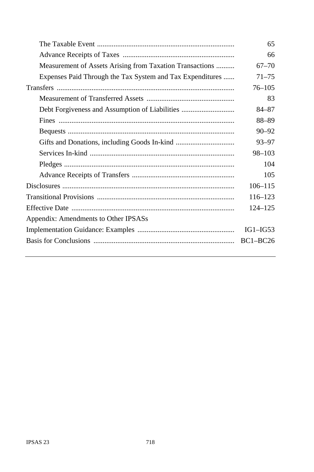|                                                           | 65           |
|-----------------------------------------------------------|--------------|
|                                                           | 66           |
| Measurement of Assets Arising from Taxation Transactions  | $67 - 70$    |
| Expenses Paid Through the Tax System and Tax Expenditures | $71 - 75$    |
|                                                           | $76 - 105$   |
|                                                           | 83           |
| Debt Forgiveness and Assumption of Liabilities            | 84-87        |
|                                                           | 88-89        |
|                                                           | $90 - 92$    |
|                                                           | $93 - 97$    |
|                                                           | $98 - 103$   |
|                                                           | 104          |
|                                                           | 105          |
|                                                           | $106 - 115$  |
|                                                           | 116–123      |
|                                                           | 124–125      |
| Appendix: Amendments to Other IPSASs                      |              |
|                                                           | $IG1 - IG53$ |
|                                                           | $BC1-BC26$   |
|                                                           |              |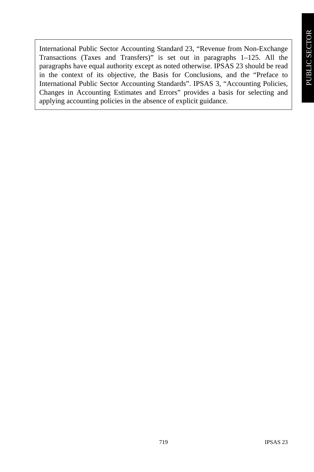International Public Sector Accounting Standard 23, "Revenue from Non-Exchange Transactions (Taxes and Transfers)" is set out in paragraphs [1–](#page-5-0)[125](#page-32-2). All the paragraphs have equal authority except as noted otherwise. IPSAS 23 should be read in the context of its objective, the Basis for Conclusions, and the "Preface to International Public Sector Accounting Standards". IPSAS 3, "Accounting Policies, Changes in Accounting Estimates and Errors" provides a basis for selecting and applying accounting policies in the absence of explicit guidance.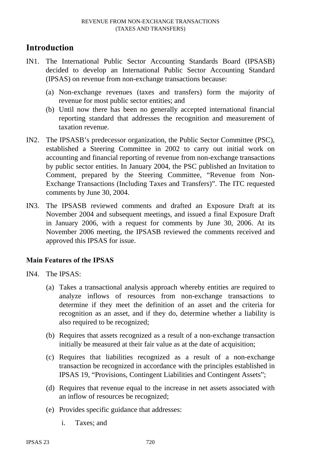# **Introduction**

- IN1. The International Public Sector Accounting Standards Board (IPSASB) decided to develop an International Public Sector Accounting Standard (IPSAS) on revenue from non-exchange transactions because:
	- (a) Non-exchange revenues (taxes and transfers) form the majority of revenue for most public sector entities; and
	- (b) Until now there has been no generally accepted international financial reporting standard that addresses the recognition and measurement of taxation revenue.
- IN2. The IPSASB's predecessor organization, the Public Sector Committee (PSC), established a Steering Committee in 2002 to carry out initial work on accounting and financial reporting of revenue from non-exchange transactions by public sector entities. In January 2004, the PSC published an Invitation to Comment, prepared by the Steering Committee, "Revenue from Non-Exchange Transactions (Including Taxes and Transfers)". The ITC requested comments by June 30, 2004.
- IN3. The IPSASB reviewed comments and drafted an Exposure Draft at its November 2004 and subsequent meetings, and issued a final Exposure Draft in January 2006, with a request for comments by June 30, 2006. At its November 2006 meeting, the IPSASB reviewed the comments received and approved this IPSAS for issue.

## **Main Features of the IPSAS**

- IN4. The IPSAS:
	- (a) Takes a transactional analysis approach whereby entities are required to analyze inflows of resources from non-exchange transactions to determine if they meet the definition of an asset and the criteria for recognition as an asset, and if they do, determine whether a liability is also required to be recognized;
	- (b) Requires that assets recognized as a result of a non-exchange transaction initially be measured at their fair value as at the date of acquisition;
	- (c) Requires that liabilities recognized as a result of a non-exchange transaction be recognized in accordance with the principles established in IPSAS 19, "Provisions, Contingent Liabilities and Contingent Assets";
	- (d) Requires that revenue equal to the increase in net assets associated with an inflow of resources be recognized;
	- (e) Provides specific guidance that addresses:
		- i. Taxes; and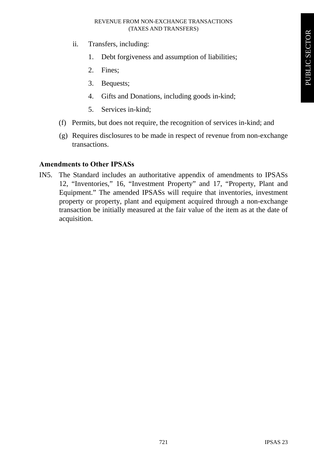- ii. Transfers, including:
	- 1. Debt forgiveness and assumption of liabilities;
	- 2. Fines;
	- 3. Bequests;
	- 4. Gifts and Donations, including goods in-kind;
	- 5. Services in-kind;
- (f) Permits, but does not require, the recognition of services in-kind; and
- (g) Requires disclosures to be made in respect of revenue from non-exchange transactions.

#### **Amendments to Other IPSASs**

IN5. The Standard includes an authoritative appendix of amendments to IPSASs 12, "Inventories," 16, "Investment Property" and 17, "Property, Plant and Equipment." The amended IPSASs will require that inventories, investment property or property, plant and equipment acquired through a non-exchange transaction be initially measured at the fair value of the item as at the date of acquisition.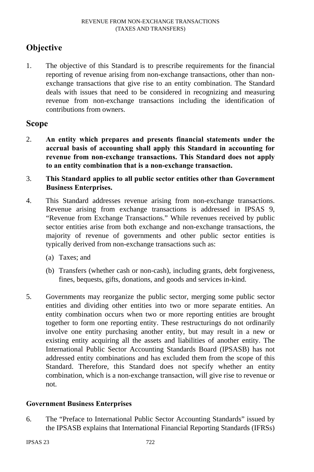# **Objective**

<span id="page-5-0"></span>1. The objective of this Standard is to prescribe requirements for the financial reporting of revenue arising from non-exchange transactions, other than nonexchange transactions that give rise to an entity combination. The Standard deals with issues that need to be considered in recognizing and measuring revenue from non-exchange transactions including the identification of contributions from owners.

# **Scope**

- <span id="page-5-1"></span>2. **An entity which prepares and presents financial statements under the accrual basis of accounting shall apply this Standard in accounting for revenue from non-exchange transactions. This Standard does not apply to an entity combination that is a non-exchange transaction.**
- 3. **This Standard applies to all public sector entities other than Government Business Enterprises.**
- 4. This Standard addresses revenue arising from non-exchange transactions. Revenue arising from exchange transactions is addressed in IPSAS 9, "Revenue from Exchange Transactions." While revenues received by public sector entities arise from both exchange and non-exchange transactions, the majority of revenue of governments and other public sector entities is typically derived from non-exchange transactions such as:
	- (a) Taxes; and
	- (b) Transfers (whether cash or non-cash), including grants, debt forgiveness, fines, bequests, gifts, donations, and goods and services in-kind.
- 5. Governments may reorganize the public sector, merging some public sector entities and dividing other entities into two or more separate entities. An entity combination occurs when two or more reporting entities are brought together to form one reporting entity. These restructurings do not ordinarily involve one entity purchasing another entity, but may result in a new or existing entity acquiring all the assets and liabilities of another entity. The International Public Sector Accounting Standards Board (IPSASB) has not addressed entity combinations and has excluded them from the scope of this Standard. Therefore, this Standard does not specify whether an entity combination, which is a non-exchange transaction, will give rise to revenue or not.

## **Government Business Enterprises**

6. The "Preface to International Public Sector Accounting Standards" issued by the IPSASB explains that International Financial Reporting Standards (IFRSs)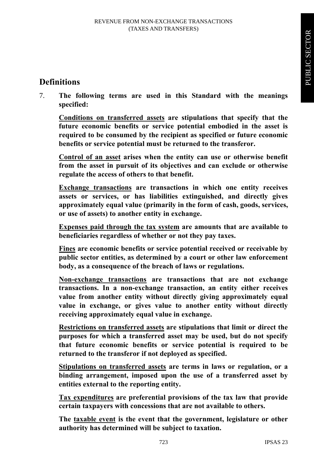# **Definitions**

<span id="page-6-1"></span>7. **The following terms are used in this Standard with the meanings specified:**

 **Conditions on transferred assets are stipulations that specify that the future economic benefits or service potential embodied in the asset is required to be consumed by the recipient as specified or future economic benefits or service potential must be returned to the transferor.** 

 **Control of an asset arises when the entity can use or otherwise benefit from the asset in pursuit of its objectives and can exclude or otherwise regulate the access of others to that benefit.** 

 **Exchange transactions are transactions in which one entity receives assets or services, or has liabilities extinguished, and directly gives approximately equal value (primarily in the form of cash, goods, services, or use of assets) to another entity in exchange.** 

 **Expenses paid through the tax system are amounts that are available to beneficiaries regardless of whether or not they pay taxes.** 

 **Fines are economic benefits or service potential received or receivable by public sector entities, as determined by a court or other law enforcement body, as a consequence of the breach of laws or regulations.** 

 **Non-exchange transactions are transactions that are not exchange transactions. In a non-exchange transaction, an entity either receives value from another entity without directly giving approximately equal value in exchange, or gives value to another entity without directly receiving approximately equal value in exchange.** 

 **Restrictions on transferred assets are stipulations that limit or direct the purposes for which a transferred asset may be used, but do not specify that future economic benefits or service potential is required to be returned to the transferor if not deployed as specified.** 

 **Stipulations on transferred assets are terms in laws or regulation, or a binding arrangement, imposed upon the use of a transferred asset by entities external to the reporting entity.** 

 **Tax expenditures are preferential provisions of the tax law that provide certain taxpayers with concessions that are not available to others.** 

<span id="page-6-0"></span> **The taxable event is the event that the government, legislature or other authority has determined will be subject to taxation.**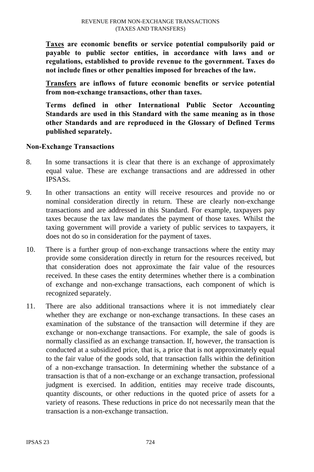**Taxes are economic benefits or service potential compulsorily paid or payable to public sector entities, in accordance with laws and or regulations, established to provide revenue to the government. Taxes do not include fines or other penalties imposed for breaches of the law.** 

 **Transfers are inflows of future economic benefits or service potential from non-exchange transactions, other than taxes.** 

 **Terms defined in other International Public Sector Accounting Standards are used in this Standard with the same meaning as in those other Standards and are reproduced in the Glossary of Defined Terms published separately.** 

#### **Non-Exchange Transactions**

- <span id="page-7-0"></span>8. In some transactions it is clear that there is an exchange of approximately equal value. These are exchange transactions and are addressed in other IPSASs.
- 9. In other transactions an entity will receive resources and provide no or nominal consideration directly in return. These are clearly non-exchange transactions and are addressed in this Standard. For example, taxpayers pay taxes because the tax law mandates the payment of those taxes. Whilst the taxing government will provide a variety of public services to taxpayers, it does not do so in consideration for the payment of taxes.
- <span id="page-7-2"></span>10. There is a further group of non-exchange transactions where the entity may provide some consideration directly in return for the resources received, but that consideration does not approximate the fair value of the resources received. In these cases the entity determines whether there is a combination of exchange and non-exchange transactions, each component of which is recognized separately.
- <span id="page-7-1"></span>11. There are also additional transactions where it is not immediately clear whether they are exchange or non-exchange transactions. In these cases an examination of the substance of the transaction will determine if they are exchange or non-exchange transactions. For example, the sale of goods is normally classified as an exchange transaction. If, however, the transaction is conducted at a subsidized price, that is, a price that is not approximately equal to the fair value of the goods sold, that transaction falls within the definition of a non-exchange transaction. In determining whether the substance of a transaction is that of a non-exchange or an exchange transaction, professional judgment is exercised. In addition, entities may receive trade discounts, quantity discounts, or other reductions in the quoted price of assets for a variety of reasons. These reductions in price do not necessarily mean that the transaction is a non-exchange transaction.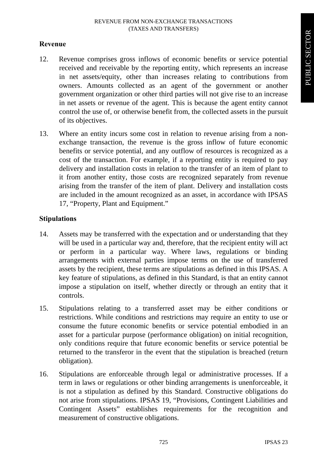## **Revenue**

- <span id="page-8-0"></span>12. Revenue comprises gross inflows of economic benefits or service potential received and receivable by the reporting entity, which represents an increase in net assets/equity, other than increases relating to contributions from owners. Amounts collected as an agent of the government or another government organization or other third parties will not give rise to an increase in net assets or revenue of the agent. This is because the agent entity cannot control the use of, or otherwise benefit from, the collected assets in the pursuit of its objectives.
- <span id="page-8-1"></span>13. Where an entity incurs some cost in relation to revenue arising from a nonexchange transaction, the revenue is the gross inflow of future economic benefits or service potential, and any outflow of resources is recognized as a cost of the transaction. For example, if a reporting entity is required to pay delivery and installation costs in relation to the transfer of an item of plant to it from another entity, those costs are recognized separately from revenue arising from the transfer of the item of plant. Delivery and installation costs are included in the amount recognized as an asset, in accordance with IPSAS 17, "Property, Plant and Equipment."

## **Stipulations**

- <span id="page-8-2"></span>14. Assets may be transferred with the expectation and or understanding that they will be used in a particular way and, therefore, that the recipient entity will act or perform in a particular way. Where laws, regulations or binding arrangements with external parties impose terms on the use of transferred assets by the recipient, these terms are stipulations as defined in this IPSAS. A key feature of stipulations, as defined in this Standard, is that an entity cannot impose a stipulation on itself, whether directly or through an entity that it controls.
- 15. Stipulations relating to a transferred asset may be either conditions or restrictions. While conditions and restrictions may require an entity to use or consume the future economic benefits or service potential embodied in an asset for a particular purpose (performance obligation) on initial recognition, only conditions require that future economic benefits or service potential be returned to the transferor in the event that the stipulation is breached (return obligation).
- <span id="page-8-3"></span>16. Stipulations are enforceable through legal or administrative processes. If a term in laws or regulations or other binding arrangements is unenforceable, it is not a stipulation as defined by this Standard. Constructive obligations do not arise from stipulations. IPSAS 19, "Provisions, Contingent Liabilities and Contingent Assets" establishes requirements for the recognition and measurement of constructive obligations.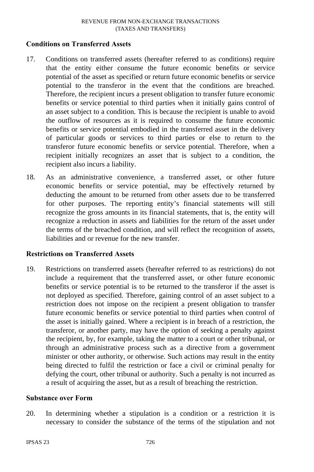#### **Conditions on Transferred Assets**

- <span id="page-9-0"></span>17. Conditions on transferred assets (hereafter referred to as conditions) require that the entity either consume the future economic benefits or service potential of the asset as specified or return future economic benefits or service potential to the transferor in the event that the conditions are breached. Therefore, the recipient incurs a present obligation to transfer future economic benefits or service potential to third parties when it initially gains control of an asset subject to a condition. This is because the recipient is unable to avoid the outflow of resources as it is required to consume the future economic benefits or service potential embodied in the transferred asset in the delivery of particular goods or services to third parties or else to return to the transferor future economic benefits or service potential. Therefore, when a recipient initially recognizes an asset that is subject to a condition, the recipient also incurs a liability.
- <span id="page-9-1"></span>18. As an administrative convenience, a transferred asset, or other future economic benefits or service potential, may be effectively returned by deducting the amount to be returned from other assets due to be transferred for other purposes. The reporting entity's financial statements will still recognize the gross amounts in its financial statements, that is, the entity will recognize a reduction in assets and liabilities for the return of the asset under the terms of the breached condition, and will reflect the recognition of assets, liabilities and or revenue for the new transfer.

#### **Restrictions on Transferred Assets**

<span id="page-9-2"></span>19. Restrictions on transferred assets (hereafter referred to as restrictions) do not include a requirement that the transferred asset, or other future economic benefits or service potential is to be returned to the transferor if the asset is not deployed as specified. Therefore, gaining control of an asset subject to a restriction does not impose on the recipient a present obligation to transfer future economic benefits or service potential to third parties when control of the asset is initially gained. Where a recipient is in breach of a restriction, the transferor, or another party, may have the option of seeking a penalty against the recipient, by, for example, taking the matter to a court or other tribunal, or through an administrative process such as a directive from a government minister or other authority, or otherwise. Such actions may result in the entity being directed to fulfil the restriction or face a civil or criminal penalty for defying the court, other tribunal or authority. Such a penalty is not incurred as a result of acquiring the asset, but as a result of breaching the restriction.

#### **Substance over Form**

20. In determining whether a stipulation is a condition or a restriction it is necessary to consider the substance of the terms of the stipulation and not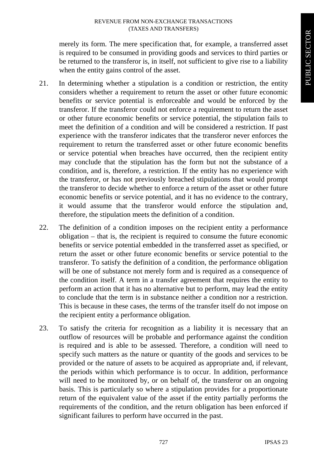merely its form. The mere specification that, for example, a transferred asset is required to be consumed in providing goods and services to third parties or be returned to the transferor is, in itself, not sufficient to give rise to a liability when the entity gains control of the asset.

- 21. In determining whether a stipulation is a condition or restriction, the entity considers whether a requirement to return the asset or other future economic benefits or service potential is enforceable and would be enforced by the transferor. If the transferor could not enforce a requirement to return the asset or other future economic benefits or service potential, the stipulation fails to meet the definition of a condition and will be considered a restriction. If past experience with the transferor indicates that the transferor never enforces the requirement to return the transferred asset or other future economic benefits or service potential when breaches have occurred, then the recipient entity may conclude that the stipulation has the form but not the substance of a condition, and is, therefore, a restriction. If the entity has no experience with the transferor, or has not previously breached stipulations that would prompt the transferor to decide whether to enforce a return of the asset or other future economic benefits or service potential, and it has no evidence to the contrary, it would assume that the transferor would enforce the stipulation and, therefore, the stipulation meets the definition of a condition.
- 22. The definition of a condition imposes on the recipient entity a performance obligation – that is, the recipient is required to consume the future economic benefits or service potential embedded in the transferred asset as specified, or return the asset or other future economic benefits or service potential to the transferor. To satisfy the definition of a condition, the performance obligation will be one of substance not merely form and is required as a consequence of the condition itself. A term in a transfer agreement that requires the entity to perform an action that it has no alternative but to perform, may lead the entity to conclude that the term is in substance neither a condition nor a restriction. This is because in these cases, the terms of the transfer itself do not impose on the recipient entity a performance obligation.
- <span id="page-10-0"></span>23. To satisfy the criteria for recognition as a liability it is necessary that an outflow of resources will be probable and performance against the condition is required and is able to be assessed. Therefore, a condition will need to specify such matters as the nature or quantity of the goods and services to be provided or the nature of assets to be acquired as appropriate and, if relevant, the periods within which performance is to occur. In addition, performance will need to be monitored by, or on behalf of, the transferor on an ongoing basis. This is particularly so where a stipulation provides for a proportionate return of the equivalent value of the asset if the entity partially performs the requirements of the condition, and the return obligation has been enforced if significant failures to perform have occurred in the past.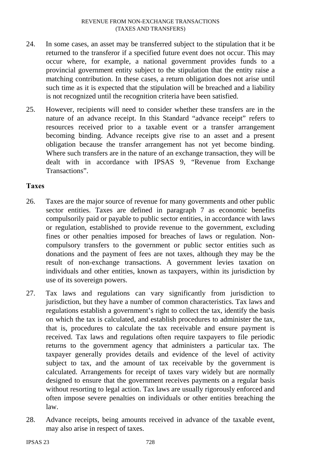- 24. In some cases, an asset may be transferred subject to the stipulation that it be returned to the transferor if a specified future event does not occur. This may occur where, for example, a national government provides funds to a provincial government entity subject to the stipulation that the entity raise a matching contribution. In these cases, a return obligation does not arise until such time as it is expected that the stipulation will be breached and a liability is not recognized until the recognition criteria have been satisfied.
- <span id="page-11-1"></span>25. However, recipients will need to consider whether these transfers are in the nature of an advance receipt. In this Standard "advance receipt" refers to resources received prior to a taxable event or a transfer arrangement becoming binding. Advance receipts give rise to an asset and a present obligation because the transfer arrangement has not yet become binding. Where such transfers are in the nature of an exchange transaction, they will be dealt with in accordance with IPSAS 9, "Revenue from Exchange Transactions".

#### **Taxes**

- <span id="page-11-2"></span>26. Taxes are the major source of revenue for many governments and other public sector entities. Taxes are defined in paragraph [7](#page-6-1) as economic benefits compulsorily paid or payable to public sector entities, in accordance with laws or regulation, established to provide revenue to the government, excluding fines or other penalties imposed for breaches of laws or regulation. Noncompulsory transfers to the government or public sector entities such as donations and the payment of fees are not taxes, although they may be the result of non-exchange transactions. A government levies taxation on individuals and other entities, known as taxpayers, within its jurisdiction by use of its sovereign powers.
- 27. Tax laws and regulations can vary significantly from jurisdiction to jurisdiction, but they have a number of common characteristics. Tax laws and regulations establish a government's right to collect the tax, identify the basis on which the tax is calculated, and establish procedures to administer the tax, that is, procedures to calculate the tax receivable and ensure payment is received. Tax laws and regulations often require taxpayers to file periodic returns to the government agency that administers a particular tax. The taxpayer generally provides details and evidence of the level of activity subject to tax, and the amount of tax receivable by the government is calculated. Arrangements for receipt of taxes vary widely but are normally designed to ensure that the government receives payments on a regular basis without resorting to legal action. Tax laws are usually rigorously enforced and often impose severe penalties on individuals or other entities breaching the law.
- <span id="page-11-0"></span>28. Advance receipts, being amounts received in advance of the taxable event, may also arise in respect of taxes.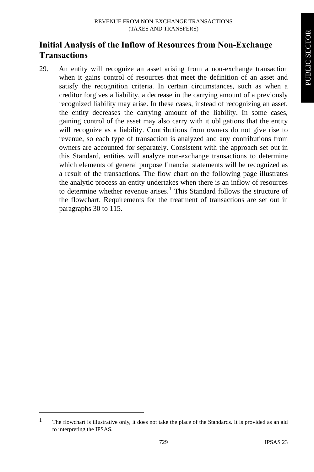# **Initial Analysis of the Inflow of Resources from Non-Exchange Transactions**

29. An entity will recognize an asset arising from a non-exchange transaction when it gains control of resources that meet the definition of an asset and satisfy the recognition criteria. In certain circumstances, such as when a creditor forgives a liability, a decrease in the carrying amount of a previously recognized liability may arise. In these cases, instead of recognizing an asset, the entity decreases the carrying amount of the liability. In some cases, gaining control of the asset may also carry with it obligations that the entity will recognize as a liability. Contributions from owners do not give rise to revenue, so each type of transaction is analyzed and any contributions from owners are accounted for separately. Consistent with the approach set out in this Standard, entities will analyze non-exchange transactions to determine which elements of general purpose financial statements will be recognized as a result of the transactions. The flow chart on the following page illustrates the analytic process an entity undertakes when there is an inflow of resources to determine whether revenue arises.<sup>[1](#page-12-0)</sup> This Standard follows the structure of the flowchart. Requirements for the treatment of transactions are set out in paragraphs [30](#page-14-0) to [115](#page-30-0).

 $\overline{\phantom{a}}$ 

<span id="page-12-0"></span><sup>&</sup>lt;sup>1</sup> The flowchart is illustrative only, it does not take the place of the Standards. It is provided as an aid to interpreting the IPSAS.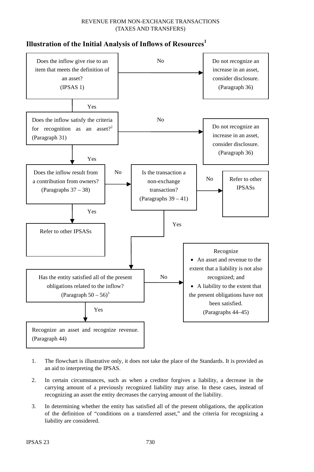<span id="page-13-0"></span>

#### **Illustration of the Initial Analysis of Inflows of Resources1**

- 1. The flowchart is illustrative only, it does not take the place of the Standards. It is provided as an aid to interpreting the IPSAS.
- 2. In certain circumstances, such as when a creditor forgives a liability, a decrease in the carrying amount of a previously recognized liability may arise. In these cases, instead of recognizing an asset the entity decreases the carrying amount of the liability.
- 3. In determining whether the entity has satisfied all of the present obligations, the application of the definition of "conditions on a transferred asset," and the criteria for recognizing a liability are considered.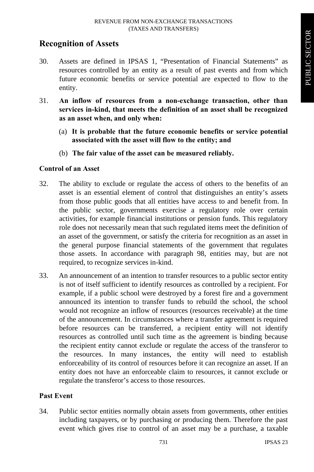# **Recognition of Assets**

- <span id="page-14-0"></span>30. Assets are defined in IPSAS 1, "Presentation of Financial Statements" as resources controlled by an entity as a result of past events and from which future economic benefits or service potential are expected to flow to the entity.
- <span id="page-14-3"></span>31. **An inflow of resources from a non-exchange transaction, other than services in-kind, that meets the definition of an asset shall be recognized as an asset when, and only when:**
	- (a) **It is probable that the future economic benefits or service potential associated with the asset will flow to the entity; and**
	- (b) **The fair value of the asset can be measured reliably.**

#### **Control of an Asset**

- <span id="page-14-1"></span>32. The ability to exclude or regulate the access of others to the benefits of an asset is an essential element of control that distinguishes an entity's assets from those public goods that all entities have access to and benefit from. In the public sector, governments exercise a regulatory role over certain activities, for example financial institutions or pension funds. This regulatory role does not necessarily mean that such regulated items meet the definition of an asset of the government, or satisfy the criteria for recognition as an asset in the general purpose financial statements of the government that regulates those assets. In accordance with paragraph 98, entities may, but are not required, to recognize services in-kind.
- <span id="page-14-2"></span>33. An announcement of an intention to transfer resources to a public sector entity is not of itself sufficient to identify resources as controlled by a recipient. For example, if a public school were destroyed by a forest fire and a government announced its intention to transfer funds to rebuild the school, the school would not recognize an inflow of resources (resources receivable) at the time of the announcement. In circumstances where a transfer agreement is required before resources can be transferred, a recipient entity will not identify resources as controlled until such time as the agreement is binding because the recipient entity cannot exclude or regulate the access of the transferor to the resources. In many instances, the entity will need to establish enforceability of its control of resources before it can recognize an asset. If an entity does not have an enforceable claim to resources, it cannot exclude or regulate the transferor's access to those resources.

## **Past Event**

34. Public sector entities normally obtain assets from governments, other entities including taxpayers, or by purchasing or producing them. Therefore the past event which gives rise to control of an asset may be a purchase, a taxable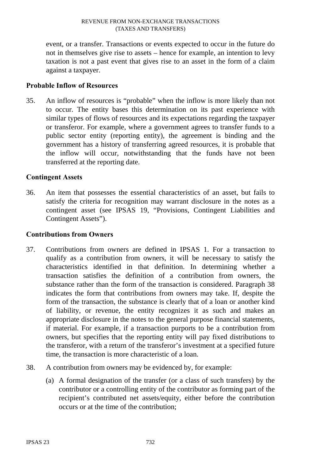event, or a transfer. Transactions or events expected to occur in the future do not in themselves give rise to assets – hence for example, an intention to levy taxation is not a past event that gives rise to an asset in the form of a claim against a taxpayer.

#### **Probable Inflow of Resources**

<span id="page-15-1"></span>35. An inflow of resources is "probable" when the inflow is more likely than not to occur. The entity bases this determination on its past experience with similar types of flows of resources and its expectations regarding the taxpayer or transferor. For example, where a government agrees to transfer funds to a public sector entity (reporting entity), the agreement is binding and the government has a history of transferring agreed resources, it is probable that the inflow will occur, notwithstanding that the funds have not been transferred at the reporting date.

#### **Contingent Assets**

<span id="page-15-2"></span>36. An item that possesses the essential characteristics of an asset, but fails to satisfy the criteria for recognition may warrant disclosure in the notes as a contingent asset (see IPSAS 19, "Provisions, Contingent Liabilities and Contingent Assets").

#### **Contributions from Owners**

- <span id="page-15-3"></span>37. Contributions from owners are defined in IPSAS 1. For a transaction to qualify as a contribution from owners, it will be necessary to satisfy the characteristics identified in that definition. In determining whether a transaction satisfies the definition of a contribution from owners, the substance rather than the form of the transaction is considered. Paragraph [38](#page-15-4) indicates the form that contributions from owners may take. If, despite the form of the transaction, the substance is clearly that of a loan or another kind of liability, or revenue, the entity recognizes it as such and makes an appropriate disclosure in the notes to the general purpose financial statements, if material. For example, if a transaction purports to be a contribution from owners, but specifies that the reporting entity will pay fixed distributions to the transferor, with a return of the transferor's investment at a specified future time, the transaction is more characteristic of a loan.
- <span id="page-15-4"></span><span id="page-15-0"></span>38. A contribution from owners may be evidenced by, for example:
	- (a) A formal designation of the transfer (or a class of such transfers) by the contributor or a controlling entity of the contributor as forming part of the recipient's contributed net assets/equity, either before the contribution occurs or at the time of the contribution;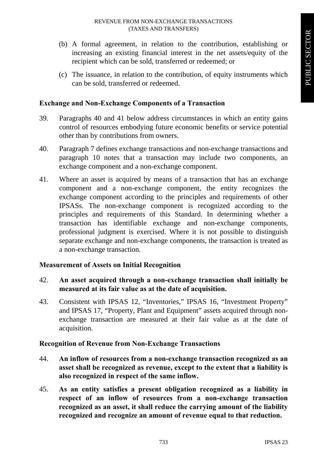- (b) A formal agreement, in relation to the contribution, establishing or increasing an existing financial interest in the net assets/equity of the recipient which can be sold, transferred or redeemed; or
- (c) The issuance, in relation to the contribution, of equity instruments which can be sold, transferred or redeemed.

### **Exchange and Non-Exchange Components of a Transaction**

- <span id="page-16-1"></span>39. Paragraphs [40](#page-16-5) and [41](#page-16-2) below address circumstances in which an entity gains control of resources embodying future economic benefits or service potential other than by contributions from owners.
- <span id="page-16-5"></span>40. Paragraph [7](#page-6-1) defines exchange transactions and non-exchange transactions and paragraph [10](#page-7-2) notes that a transaction may include two components, an exchange component and a non-exchange component.
- <span id="page-16-2"></span>41. Where an asset is acquired by means of a transaction that has an exchange component and a non-exchange component, the entity recognizes the exchange component according to the principles and requirements of other IPSASs. The non-exchange component is recognized according to the principles and requirements of this Standard. In determining whether a transaction has identifiable exchange and non-exchange components, professional judgment is exercised. Where it is not possible to distinguish separate exchange and non-exchange components, the transaction is treated as a non-exchange transaction.

## **Measurement of Assets on Initial Recognition**

- <span id="page-16-3"></span>42. **An asset acquired through a non-exchange transaction shall initially be measured at its fair value as at the date of acquisition.**
- <span id="page-16-0"></span>43. Consistent with IPSAS 12, "Inventories," IPSAS 16, "Investment Property" and IPSAS 17, "Property, Plant and Equipment" assets acquired through nonexchange transaction are measured at their fair value as at the date of acquisition.

## **Recognition of Revenue from Non-Exchange Transactions**

- <span id="page-16-4"></span>44. **An inflow of resources from a non-exchange transaction recognized as an asset shall be recognized as revenue, except to the extent that a liability is also recognized in respect of the same inflow.**
- 45. **As an entity satisfies a present obligation recognized as a liability in respect of an inflow of resources from a non-exchange transaction recognized as an asset, it shall reduce the carrying amount of the liability recognized and recognize an amount of revenue equal to that reduction.**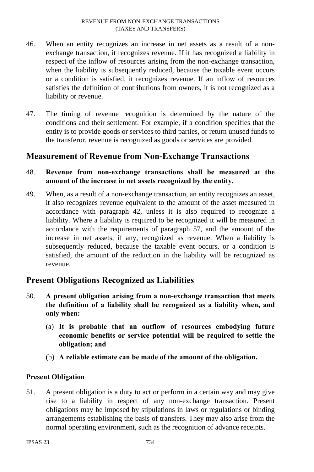- 46. When an entity recognizes an increase in net assets as a result of a nonexchange transaction, it recognizes revenue. If it has recognized a liability in respect of the inflow of resources arising from the non-exchange transaction, when the liability is subsequently reduced, because the taxable event occurs or a condition is satisfied, it recognizes revenue. If an inflow of resources satisfies the definition of contributions from owners, it is not recognized as a liability or revenue.
- <span id="page-17-0"></span>47. The timing of revenue recognition is determined by the nature of the conditions and their settlement. For example, if a condition specifies that the entity is to provide goods or services to third parties, or return unused funds to the transferor, revenue is recognized as goods or services are provided.

# **Measurement of Revenue from Non-Exchange Transactions**

#### <span id="page-17-1"></span>48. **Revenue from non-exchange transactions shall be measured at the amount of the increase in net assets recognized by the entity.**

<span id="page-17-2"></span>49. When, as a result of a non-exchange transaction, an entity recognizes an asset, it also recognizes revenue equivalent to the amount of the asset measured in accordance with paragraph [42,](#page-16-3) unless it is also required to recognize a liability. Where a liability is required to be recognized it will be measured in accordance with the requirements of paragraph [57,](#page-18-4) and the amount of the increase in net assets, if any, recognized as revenue. When a liability is subsequently reduced, because the taxable event occurs, or a condition is satisfied, the amount of the reduction in the liability will be recognized as revenue.

# **Present Obligations Recognized as Liabilities**

- <span id="page-17-3"></span>50. **A present obligation arising from a non-exchange transaction that meets the definition of a liability shall be recognized as a liability when, and only when:** 
	- (a) **It is probable that an outflow of resources embodying future economic benefits or service potential will be required to settle the obligation; and**
	- (b) **A reliable estimate can be made of the amount of the obligation.**

#### **Present Obligation**

<span id="page-17-4"></span>51. A present obligation is a duty to act or perform in a certain way and may give rise to a liability in respect of any non-exchange transaction. Present obligations may be imposed by stipulations in laws or regulations or binding arrangements establishing the basis of transfers. They may also arise from the normal operating environment, such as the recognition of advance receipts.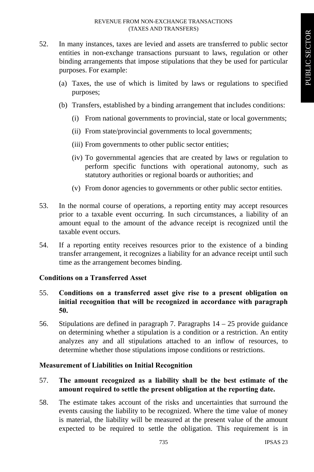- <span id="page-18-5"></span>52. In many instances, taxes are levied and assets are transferred to public sector entities in non-exchange transactions pursuant to laws, regulation or other binding arrangements that impose stipulations that they be used for particular purposes. For example:
	- (a) Taxes, the use of which is limited by laws or regulations to specified purposes;
	- (b) Transfers, established by a binding arrangement that includes conditions:
		- (i) From national governments to provincial, state or local governments;
		- (ii) From state/provincial governments to local governments;
		- (iii) From governments to other public sector entities;
		- (iv) To governmental agencies that are created by laws or regulation to perform specific functions with operational autonomy, such as statutory authorities or regional boards or authorities; and
		- (v) From donor agencies to governments or other public sector entities.
- 53. In the normal course of operations, a reporting entity may accept resources prior to a taxable event occurring. In such circumstances, a liability of an amount equal to the amount of the advance receipt is recognized until the taxable event occurs.
- <span id="page-18-1"></span>54. If a reporting entity receives resources prior to the existence of a binding transfer arrangement, it recognizes a liability for an advance receipt until such time as the arrangement becomes binding.

#### **Conditions on a Transferred Asset**

- <span id="page-18-2"></span>55. **Conditions on a transferred asset give rise to a present obligation on initial recognition that will be recognized in accordance with paragraph [50](#page-17-3).**
- <span id="page-18-3"></span>56. Stipulations are defined in paragraph [7](#page-6-1). Paragraphs [14](#page-8-2) – [25](#page-11-1) provide guidance on determining whether a stipulation is a condition or a restriction. An entity analyzes any and all stipulations attached to an inflow of resources, to determine whether those stipulations impose conditions or restrictions.

#### **Measurement of Liabilities on Initial Recognition**

#### <span id="page-18-4"></span>57. **The amount recognized as a liability shall be the best estimate of the amount required to settle the present obligation at the reporting date.**

<span id="page-18-0"></span>58. The estimate takes account of the risks and uncertainties that surround the events causing the liability to be recognized. Where the time value of money is material, the liability will be measured at the present value of the amount expected to be required to settle the obligation. This requirement is in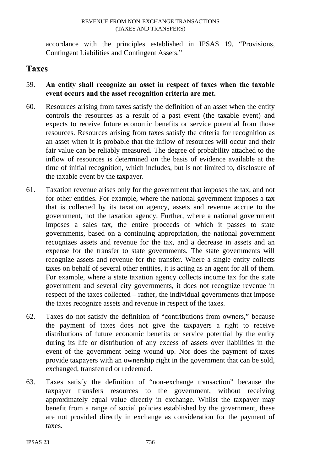accordance with the principles established in IPSAS 19, "Provisions, Contingent Liabilities and Contingent Assets."

# **Taxes**

### <span id="page-19-1"></span>59. **An entity shall recognize an asset in respect of taxes when the taxable event occurs and the asset recognition criteria are met.**

- 60. Resources arising from taxes satisfy the definition of an asset when the entity controls the resources as a result of a past event (the taxable event) and expects to receive future economic benefits or service potential from those resources. Resources arising from taxes satisfy the criteria for recognition as an asset when it is probable that the inflow of resources will occur and their fair value can be reliably measured. The degree of probability attached to the inflow of resources is determined on the basis of evidence available at the time of initial recognition, which includes, but is not limited to, disclosure of the taxable event by the taxpayer.
- 61. Taxation revenue arises only for the government that imposes the tax, and not for other entities. For example, where the national government imposes a tax that is collected by its taxation agency, assets and revenue accrue to the government, not the taxation agency. Further, where a national government imposes a sales tax, the entire proceeds of which it passes to state governments, based on a continuing appropriation, the national government recognizes assets and revenue for the tax, and a decrease in assets and an expense for the transfer to state governments. The state governments will recognize assets and revenue for the transfer. Where a single entity collects taxes on behalf of several other entities, it is acting as an agent for all of them. For example, where a state taxation agency collects income tax for the state government and several city governments, it does not recognize revenue in respect of the taxes collected – rather, the individual governments that impose the taxes recognize assets and revenue in respect of the taxes.
- 62. Taxes do not satisfy the definition of "contributions from owners," because the payment of taxes does not give the taxpayers a right to receive distributions of future economic benefits or service potential by the entity during its life or distribution of any excess of assets over liabilities in the event of the government being wound up. Nor does the payment of taxes provide taxpayers with an ownership right in the government that can be sold, exchanged, transferred or redeemed.
- <span id="page-19-0"></span>63. Taxes satisfy the definition of "non-exchange transaction" because the taxpayer transfers resources to the government, without receiving approximately equal value directly in exchange. Whilst the taxpayer may benefit from a range of social policies established by the government, these are not provided directly in exchange as consideration for the payment of taxes.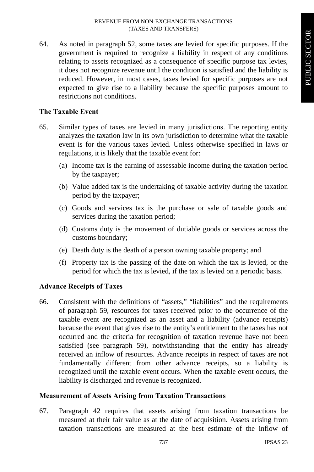64. As noted in paragraph [52,](#page-18-5) some taxes are levied for specific purposes. If the government is required to recognize a liability in respect of any conditions relating to assets recognized as a consequence of specific purpose tax levies, it does not recognize revenue until the condition is satisfied and the liability is reduced. However, in most cases, taxes levied for specific purposes are not expected to give rise to a liability because the specific purposes amount to restrictions not conditions.

#### **The Taxable Event**

- <span id="page-20-0"></span>65. Similar types of taxes are levied in many jurisdictions. The reporting entity analyzes the taxation law in its own jurisdiction to determine what the taxable event is for the various taxes levied. Unless otherwise specified in laws or regulations, it is likely that the taxable event for:
	- (a) Income tax is the earning of assessable income during the taxation period by the taxpayer;
	- (b) Value added tax is the undertaking of taxable activity during the taxation period by the taxpayer;
	- (c) Goods and services tax is the purchase or sale of taxable goods and services during the taxation period;
	- (d) Customs duty is the movement of dutiable goods or services across the customs boundary;
	- (e) Death duty is the death of a person owning taxable property; and
	- (f) Property tax is the passing of the date on which the tax is levied, or the period for which the tax is levied, if the tax is levied on a periodic basis.

#### **Advance Receipts of Taxes**

<span id="page-20-1"></span>66. Consistent with the definitions of "assets," "liabilities" and the requirements of paragraph [59](#page-19-1), resources for taxes received prior to the occurrence of the taxable event are recognized as an asset and a liability (advance receipts) because the event that gives rise to the entity's entitlement to the taxes has not occurred and the criteria for recognition of taxation revenue have not been satisfied (see paragraph 59), notwithstanding that the entity has already received an inflow of resources. Advance receipts in respect of taxes are not fundamentally different from other advance receipts, so a liability is recognized until the taxable event occurs. When the taxable event occurs, the liability is discharged and revenue is recognized.

#### **Measurement of Assets Arising from Taxation Transactions**

67. Paragraph [42](#page-16-3) requires that assets arising from taxation transactions be measured at their fair value as at the date of acquisition. Assets arising from taxation transactions are measured at the best estimate of the inflow of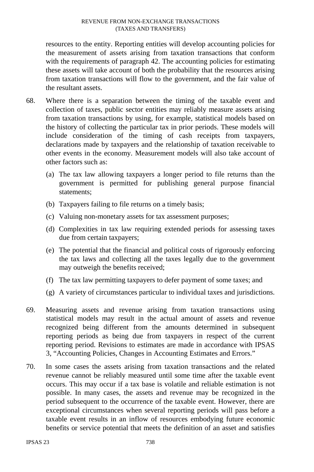resources to the entity. Reporting entities will develop accounting policies for the measurement of assets arising from taxation transactions that conform with the requirements of paragraph 42. The accounting policies for estimating these assets will take account of both the probability that the resources arising from taxation transactions will flow to the government, and the fair value of the resultant assets.

- <span id="page-21-1"></span>68. Where there is a separation between the timing of the taxable event and collection of taxes, public sector entities may reliably measure assets arising from taxation transactions by using, for example, statistical models based on the history of collecting the particular tax in prior periods. These models will include consideration of the timing of cash receipts from taxpayers, declarations made by taxpayers and the relationship of taxation receivable to other events in the economy. Measurement models will also take account of other factors such as:
	- (a) The tax law allowing taxpayers a longer period to file returns than the government is permitted for publishing general purpose financial statements;
	- (b) Taxpayers failing to file returns on a timely basis;
	- (c) Valuing non-monetary assets for tax assessment purposes;
	- (d) Complexities in tax law requiring extended periods for assessing taxes due from certain taxpayers;
	- (e) The potential that the financial and political costs of rigorously enforcing the tax laws and collecting all the taxes legally due to the government may outweigh the benefits received;
	- (f) The tax law permitting taxpayers to defer payment of some taxes; and
	- (g) A variety of circumstances particular to individual taxes and jurisdictions.
- 69. Measuring assets and revenue arising from taxation transactions using statistical models may result in the actual amount of assets and revenue recognized being different from the amounts determined in subsequent reporting periods as being due from taxpayers in respect of the current reporting period. Revisions to estimates are made in accordance with IPSAS 3, "Accounting Policies, Changes in Accounting Estimates and Errors."
- <span id="page-21-0"></span>70. In some cases the assets arising from taxation transactions and the related revenue cannot be reliably measured until some time after the taxable event occurs. This may occur if a tax base is volatile and reliable estimation is not possible. In many cases, the assets and revenue may be recognized in the period subsequent to the occurrence of the taxable event. However, there are exceptional circumstances when several reporting periods will pass before a taxable event results in an inflow of resources embodying future economic benefits or service potential that meets the definition of an asset and satisfies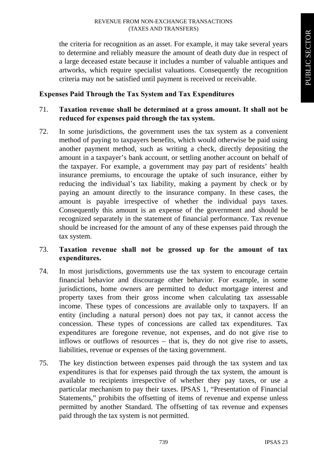the criteria for recognition as an asset. For example, it may take several years to determine and reliably measure the amount of death duty due in respect of a large deceased estate because it includes a number of valuable antiques and artworks, which require specialist valuations. Consequently the recognition criteria may not be satisfied until payment is received or receivable.

## **Expenses Paid Through the Tax System and Tax Expenditures**

### <span id="page-22-2"></span>71. **Taxation revenue shall be determined at a gross amount. It shall not be reduced for expenses paid through the tax system.**

72. In some jurisdictions, the government uses the tax system as a convenient method of paying to taxpayers benefits, which would otherwise be paid using another payment method, such as writing a check, directly depositing the amount in a taxpayer's bank account, or settling another account on behalf of the taxpayer. For example, a government may pay part of residents' health insurance premiums, to encourage the uptake of such insurance, either by reducing the individual's tax liability, making a payment by check or by paying an amount directly to the insurance company. In these cases, the amount is payable irrespective of whether the individual pays taxes. Consequently this amount is an expense of the government and should be recognized separately in the statement of financial performance. Tax revenue should be increased for the amount of any of these expenses paid through the tax system.

#### 73. **Taxation revenue shall not be grossed up for the amount of tax expenditures.**

- 74. In most jurisdictions, governments use the tax system to encourage certain financial behavior and discourage other behavior. For example, in some jurisdictions, home owners are permitted to deduct mortgage interest and property taxes from their gross income when calculating tax assessable income. These types of concessions are available only to taxpayers. If an entity (including a natural person) does not pay tax, it cannot access the concession. These types of concessions are called tax expenditures. Tax expenditures are foregone revenue, not expenses, and do not give rise to inflows or outflows of resources – that is, they do not give rise to assets, liabilities, revenue or expenses of the taxing government.
- <span id="page-22-1"></span><span id="page-22-0"></span>75. The key distinction between expenses paid through the tax system and tax expenditures is that for expenses paid through the tax system, the amount is available to recipients irrespective of whether they pay taxes, or use a particular mechanism to pay their taxes. IPSAS 1, "Presentation of Financial Statements," prohibits the offsetting of items of revenue and expense unless permitted by another Standard. The offsetting of tax revenue and expenses paid through the tax system is not permitted.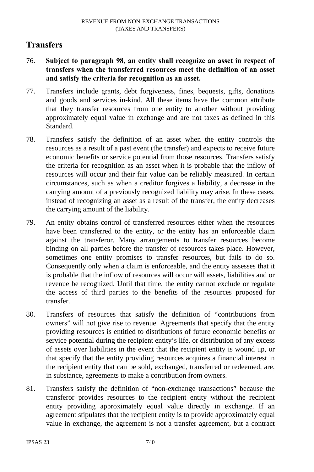# **Transfers**

- <span id="page-23-0"></span>76. **Subject to paragraph [98](#page-26-2), an entity shall recognize an asset in respect of transfers when the transferred resources meet the definition of an asset and satisfy the criteria for recognition as an asset.**
- 77. Transfers include grants, debt forgiveness, fines, bequests, gifts, donations and goods and services in-kind. All these items have the common attribute that they transfer resources from one entity to another without providing approximately equal value in exchange and are not taxes as defined in this Standard.
- 78. Transfers satisfy the definition of an asset when the entity controls the resources as a result of a past event (the transfer) and expects to receive future economic benefits or service potential from those resources. Transfers satisfy the criteria for recognition as an asset when it is probable that the inflow of resources will occur and their fair value can be reliably measured. In certain circumstances, such as when a creditor forgives a liability, a decrease in the carrying amount of a previously recognized liability may arise. In these cases, instead of recognizing an asset as a result of the transfer, the entity decreases the carrying amount of the liability.
- 79. An entity obtains control of transferred resources either when the resources have been transferred to the entity, or the entity has an enforceable claim against the transferor. Many arrangements to transfer resources become binding on all parties before the transfer of resources takes place. However, sometimes one entity promises to transfer resources, but fails to do so. Consequently only when a claim is enforceable, and the entity assesses that it is probable that the inflow of resources will occur will assets, liabilities and or revenue be recognized. Until that time, the entity cannot exclude or regulate the access of third parties to the benefits of the resources proposed for transfer.
- 80. Transfers of resources that satisfy the definition of "contributions from owners" will not give rise to revenue. Agreements that specify that the entity providing resources is entitled to distributions of future economic benefits or service potential during the recipient entity's life, or distribution of any excess of assets over liabilities in the event that the recipient entity is wound up, or that specify that the entity providing resources acquires a financial interest in the recipient entity that can be sold, exchanged, transferred or redeemed, are, in substance, agreements to make a contribution from owners.
- 81. Transfers satisfy the definition of "non-exchange transactions" because the transferor provides resources to the recipient entity without the recipient entity providing approximately equal value directly in exchange. If an agreement stipulates that the recipient entity is to provide approximately equal value in exchange, the agreement is not a transfer agreement, but a contract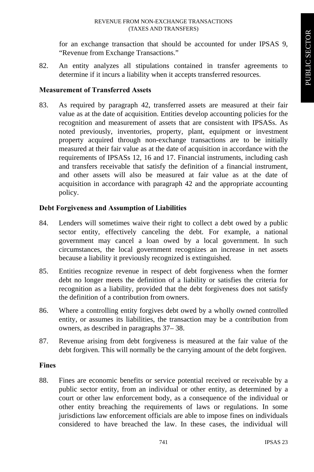for an exchange transaction that should be accounted for under IPSAS 9, "Revenue from Exchange Transactions."

<span id="page-24-3"></span>82. An entity analyzes all stipulations contained in transfer agreements to determine if it incurs a liability when it accepts transferred resources.

### **Measurement of Transferred Assets**

<span id="page-24-0"></span>83. As required by paragraph [42](#page-16-3), transferred assets are measured at their fair value as at the date of acquisition. Entities develop accounting policies for the recognition and measurement of assets that are consistent with IPSASs. As noted previously, inventories, property, plant, equipment or investment property acquired through non-exchange transactions are to be initially measured at their fair value as at the date of acquisition in accordance with the requirements of IPSASs 12, 16 and 17. Financial instruments, including cash and transfers receivable that satisfy the definition of a financial instrument, and other assets will also be measured at fair value as at the date of acquisition in accordance with paragraph [42](#page-16-3) and the appropriate accounting policy.

## **Debt Forgiveness and Assumption of Liabilities**

- <span id="page-24-1"></span>84. Lenders will sometimes waive their right to collect a debt owed by a public sector entity, effectively canceling the debt. For example, a national government may cancel a loan owed by a local government. In such circumstances, the local government recognizes an increase in net assets because a liability it previously recognized is extinguished.
- 85. Entities recognize revenue in respect of debt forgiveness when the former debt no longer meets the definition of a liability or satisfies the criteria for recognition as a liability, provided that the debt forgiveness does not satisfy the definition of a contribution from owners.
- 86. Where a controlling entity forgives debt owed by a wholly owned controlled entity, or assumes its liabilities, the transaction may be a contribution from owners, as described in paragraphs [37–](#page-15-3) [38.](#page-15-4)
- <span id="page-24-2"></span>87. Revenue arising from debt forgiveness is measured at the fair value of the debt forgiven. This will normally be the carrying amount of the debt forgiven.

#### **Fines**

88. Fines are economic benefits or service potential received or receivable by a public sector entity, from an individual or other entity, as determined by a court or other law enforcement body, as a consequence of the individual or other entity breaching the requirements of laws or regulations. In some jurisdictions law enforcement officials are able to impose fines on individuals considered to have breached the law. In these cases, the individual will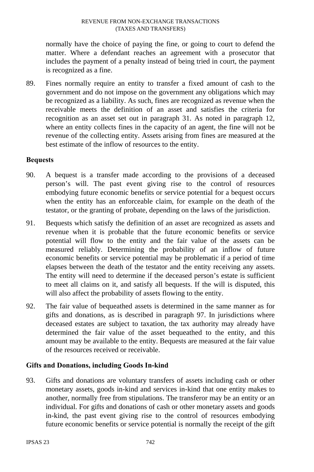normally have the choice of paying the fine, or going to court to defend the matter. Where a defendant reaches an agreement with a prosecutor that includes the payment of a penalty instead of being tried in court, the payment is recognized as a fine.

<span id="page-25-1"></span>89. Fines normally require an entity to transfer a fixed amount of cash to the government and do not impose on the government any obligations which may be recognized as a liability. As such, fines are recognized as revenue when the receivable meets the definition of an asset and satisfies the criteria for recognition as an asset set out in paragraph [31](#page-14-3). As noted in paragraph [12](#page-8-0), where an entity collects fines in the capacity of an agent, the fine will not be revenue of the collecting entity. Assets arising from fines are measured at the best estimate of the inflow of resources to the entity.

## **Bequests**

- <span id="page-25-2"></span>90. A bequest is a transfer made according to the provisions of a deceased person's will. The past event giving rise to the control of resources embodying future economic benefits or service potential for a bequest occurs when the entity has an enforceable claim, for example on the death of the testator, or the granting of probate, depending on the laws of the jurisdiction.
- 91. Bequests which satisfy the definition of an asset are recognized as assets and revenue when it is probable that the future economic benefits or service potential will flow to the entity and the fair value of the assets can be measured reliably. Determining the probability of an inflow of future economic benefits or service potential may be problematic if a period of time elapses between the death of the testator and the entity receiving any assets. The entity will need to determine if the deceased person's estate is sufficient to meet all claims on it, and satisfy all bequests. If the will is disputed, this will also affect the probability of assets flowing to the entity.
- <span id="page-25-3"></span>92. The fair value of bequeathed assets is determined in the same manner as for gifts and donations, as is described in paragraph [97.](#page-26-1) In jurisdictions where deceased estates are subject to taxation, the tax authority may already have determined the fair value of the asset bequeathed to the entity, and this amount may be available to the entity. Bequests are measured at the fair value of the resources received or receivable.

## **Gifts and Donations, including Goods In-kind**

<span id="page-25-0"></span>93. Gifts and donations are voluntary transfers of assets including cash or other monetary assets, goods in-kind and services in-kind that one entity makes to another, normally free from stipulations. The transferor may be an entity or an individual. For gifts and donations of cash or other monetary assets and goods in-kind, the past event giving rise to the control of resources embodying future economic benefits or service potential is normally the receipt of the gift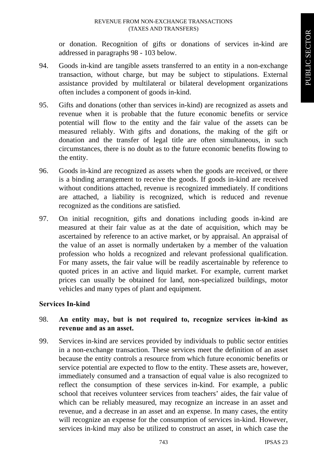or donation. Recognition of gifts or donations of services in-kind are addressed in paragraphs 98 - 103 below.

- 94. Goods in-kind are tangible assets transferred to an entity in a non-exchange transaction, without charge, but may be subject to stipulations. External assistance provided by multilateral or bilateral development organizations often includes a component of goods in-kind.
- 95. Gifts and donations (other than services in-kind) are recognized as assets and revenue when it is probable that the future economic benefits or service potential will flow to the entity and the fair value of the assets can be measured reliably. With gifts and donations, the making of the gift or donation and the transfer of legal title are often simultaneous, in such circumstances, there is no doubt as to the future economic benefits flowing to the entity.
- 96. Goods in-kind are recognized as assets when the goods are received, or there is a binding arrangement to receive the goods. If goods in-kind are received without conditions attached, revenue is recognized immediately. If conditions are attached, a liability is recognized, which is reduced and revenue recognized as the conditions are satisfied.
- <span id="page-26-1"></span>97. On initial recognition, gifts and donations including goods in-kind are measured at their fair value as at the date of acquisition, which may be ascertained by reference to an active market, or by appraisal. An appraisal of the value of an asset is normally undertaken by a member of the valuation profession who holds a recognized and relevant professional qualification. For many assets, the fair value will be readily ascertainable by reference to quoted prices in an active and liquid market. For example, current market prices can usually be obtained for land, non-specialized buildings, motor vehicles and many types of plant and equipment.

#### **Services In-kind**

#### <span id="page-26-2"></span>98. **An entity may, but is not required to, recognize services in-kind as revenue and as an asset.**

<span id="page-26-0"></span>99. Services in-kind are services provided by individuals to public sector entities in a non-exchange transaction. These services meet the definition of an asset because the entity controls a resource from which future economic benefits or service potential are expected to flow to the entity. These assets are, however, immediately consumed and a transaction of equal value is also recognized to reflect the consumption of these services in-kind. For example, a public school that receives volunteer services from teachers' aides, the fair value of which can be reliably measured, may recognize an increase in an asset and revenue, and a decrease in an asset and an expense. In many cases, the entity will recognize an expense for the consumption of services in-kind. However, services in-kind may also be utilized to construct an asset, in which case the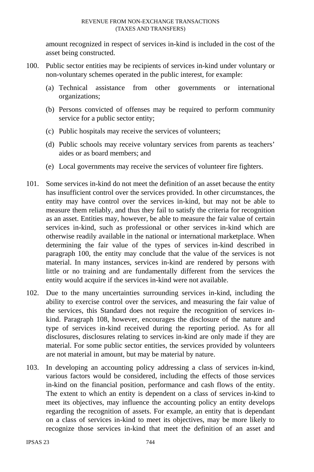amount recognized in respect of services in-kind is included in the cost of the asset being constructed.

- <span id="page-27-0"></span>100. Public sector entities may be recipients of services in-kind under voluntary or non-voluntary schemes operated in the public interest, for example:
	- (a) Technical assistance from other governments or international organizations;
	- (b) Persons convicted of offenses may be required to perform community service for a public sector entity;
	- (c) Public hospitals may receive the services of volunteers;
	- (d) Public schools may receive voluntary services from parents as teachers' aides or as board members; and
	- (e) Local governments may receive the services of volunteer fire fighters.
- 101. Some services in-kind do not meet the definition of an asset because the entity has insufficient control over the services provided. In other circumstances, the entity may have control over the services in-kind, but may not be able to measure them reliably, and thus they fail to satisfy the criteria for recognition as an asset. Entities may, however, be able to measure the fair value of certain services in-kind, such as professional or other services in-kind which are otherwise readily available in the national or international marketplace. When determining the fair value of the types of services in-kind described in paragraph [100](#page-27-0), the entity may conclude that the value of the services is not material. In many instances, services in-kind are rendered by persons with little or no training and are fundamentally different from the services the entity would acquire if the services in-kind were not available.
- <span id="page-27-1"></span>102. Due to the many uncertainties surrounding services in-kind, including the ability to exercise control over the services, and measuring the fair value of the services, this Standard does not require the recognition of services inkind. Paragraph [108,](#page-29-0) however, encourages the disclosure of the nature and type of services in-kind received during the reporting period. As for all disclosures, disclosures relating to services in-kind are only made if they are material. For some public sector entities, the services provided by volunteers are not material in amount, but may be material by nature.
- 103. In developing an accounting policy addressing a class of services in-kind, various factors would be considered, including the effects of those services in-kind on the financial position, performance and cash flows of the entity. The extent to which an entity is dependent on a class of services in-kind to meet its objectives, may influence the accounting policy an entity develops regarding the recognition of assets. For example, an entity that is dependant on a class of services in-kind to meet its objectives, may be more likely to recognize those services in-kind that meet the definition of an asset and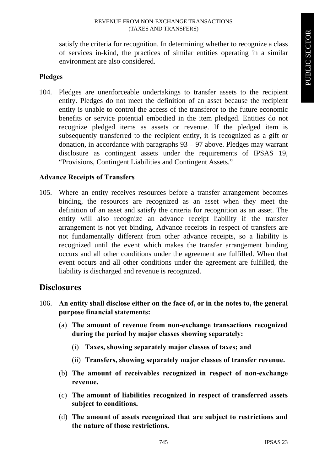satisfy the criteria for recognition. In determining whether to recognize a class of services in-kind, the practices of similar entities operating in a similar environment are also considered.

#### **Pledges**

<span id="page-28-2"></span>104. Pledges are unenforceable undertakings to transfer assets to the recipient entity. Pledges do not meet the definition of an asset because the recipient entity is unable to control the access of the transferor to the future economic benefits or service potential embodied in the item pledged. Entities do not recognize pledged items as assets or revenue. If the pledged item is subsequently transferred to the recipient entity, it is recognized as a gift or donation, in accordance with paragraphs [93](#page-26-0) – [97](#page-26-1) above. Pledges may warrant disclosure as contingent assets under the requirements of IPSAS 19, "Provisions, Contingent Liabilities and Contingent Assets."

#### **Advance Receipts of Transfers**

<span id="page-28-0"></span>105. Where an entity receives resources before a transfer arrangement becomes binding, the resources are recognized as an asset when they meet the definition of an asset and satisfy the criteria for recognition as an asset. The entity will also recognize an advance receipt liability if the transfer arrangement is not yet binding. Advance receipts in respect of transfers are not fundamentally different from other advance receipts, so a liability is recognized until the event which makes the transfer arrangement binding occurs and all other conditions under the agreement are fulfilled. When that event occurs and all other conditions under the agreement are fulfilled, the liability is discharged and revenue is recognized.

# **Disclosures**

- <span id="page-28-4"></span><span id="page-28-3"></span><span id="page-28-1"></span>106. **An entity shall disclose either on the face of, or in the notes to, the general purpose financial statements:**
	- (a) **The amount of revenue from non-exchange transactions recognized during the period by major classes showing separately:**
		- (i) **Taxes, showing separately major classes of taxes; and**
		- (ii) **Transfers, showing separately major classes of transfer revenue.**
	- (b) **The amount of receivables recognized in respect of non-exchange revenue.**
	- (c) **The amount of liabilities recognized in respect of transferred assets subject to conditions.**
	- (d) **The amount of assets recognized that are subject to restrictions and the nature of those restrictions.**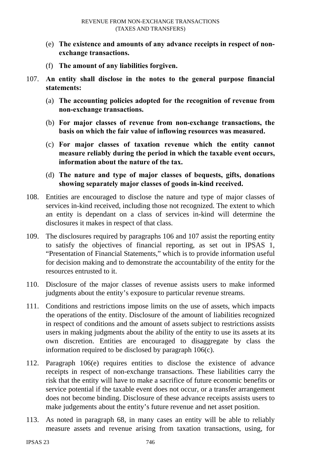- (e) **The existence and amounts of any advance receipts in respect of nonexchange transactions.**
- (f) **The amount of any liabilities forgiven.**
- <span id="page-29-1"></span>107. **An entity shall disclose in the notes to the general purpose financial statements:**
	- (a) **The accounting policies adopted for the recognition of revenue from non-exchange transactions.**
	- (b) **For major classes of revenue from non-exchange transactions, the basis on which the fair value of inflowing resources was measured.**
	- (c) **For major classes of taxation revenue which the entity cannot measure reliably during the period in which the taxable event occurs, information about the nature of the tax.**
	- (d) **The nature and type of major classes of bequests, gifts, donations showing separately major classes of goods in-kind received.**
- <span id="page-29-0"></span>108. Entities are encouraged to disclose the nature and type of major classes of services in-kind received, including those not recognized. The extent to which an entity is dependant on a class of services in-kind will determine the disclosures it makes in respect of that class.
- 109. The disclosures required by paragraphs [106](#page-28-3) and [107](#page-29-1) assist the reporting entity to satisfy the objectives of financial reporting, as set out in IPSAS 1, "Presentation of Financial Statements," which is to provide information useful for decision making and to demonstrate the accountability of the entity for the resources entrusted to it.
- 110. Disclosure of the major classes of revenue assists users to make informed judgments about the entity's exposure to particular revenue streams.
- 111. Conditions and restrictions impose limits on the use of assets, which impacts the operations of the entity. Disclosure of the amount of liabilities recognized in respect of conditions and the amount of assets subject to restrictions assists users in making judgments about the ability of the entity to use its assets at its own discretion. Entities are encouraged to disaggregate by class the information required to be disclosed by paragraph [106](#page-28-3)[\(c\)](#page-28-4).
- 112. Paragraph 106(e) requires entities to disclose the existence of advance receipts in respect of non-exchange transactions. These liabilities carry the risk that the entity will have to make a sacrifice of future economic benefits or service potential if the taxable event does not occur, or a transfer arrangement does not become binding. Disclosure of these advance receipts assists users to make judgements about the entity's future revenue and net asset position.
- 113. As noted in paragraph [68](#page-21-1), in many cases an entity will be able to reliably measure assets and revenue arising from taxation transactions, using, for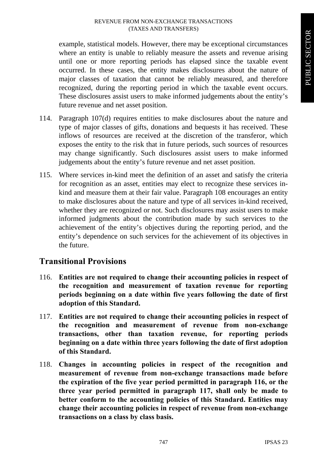example, statistical models. However, there may be exceptional circumstances where an entity is unable to reliably measure the assets and revenue arising until one or more reporting periods has elapsed since the taxable event occurred. In these cases, the entity makes disclosures about the nature of major classes of taxation that cannot be reliably measured, and therefore recognized, during the reporting period in which the taxable event occurs. These disclosures assist users to make informed judgements about the entity's future revenue and net asset position.

- 114. Paragraph 107(d) requires entities to make disclosures about the nature and type of major classes of gifts, donations and bequests it has received. These inflows of resources are received at the discretion of the transferor, which exposes the entity to the risk that in future periods, such sources of resources may change significantly. Such disclosures assist users to make informed judgements about the entity's future revenue and net asset position.
- <span id="page-30-0"></span>115. Where services in-kind meet the definition of an asset and satisfy the criteria for recognition as an asset, entities may elect to recognize these services inkind and measure them at their fair value. Paragraph 108 encourages an entity to make disclosures about the nature and type of all services in-kind received, whether they are recognized or not. Such disclosures may assist users to make informed judgments about the contribution made by such services to the achievement of the entity's objectives during the reporting period, and the entity's dependence on such services for the achievement of its objectives in the future.

# **Transitional Provisions**

- <span id="page-30-1"></span>116. **Entities are not required to change their accounting policies in respect of the recognition and measurement of taxation revenue for reporting periods beginning on a date within five years following the date of first adoption of this Standard.**
- <span id="page-30-2"></span>117. **Entities are not required to change their accounting policies in respect of the recognition and measurement of revenue from non-exchange transactions, other than taxation revenue, for reporting periods beginning on a date within three years following the date of first adoption of this Standard.**
- 118. **Changes in accounting policies in respect of the recognition and measurement of revenue from non-exchange transactions made before the expiration of the five year period permitted in paragraph [116,](#page-30-1) or the three year period permitted in paragraph [117,](#page-30-2) shall only be made to better conform to the accounting policies of this Standard. Entities may change their accounting policies in respect of revenue from non-exchange transactions on a class by class basis.**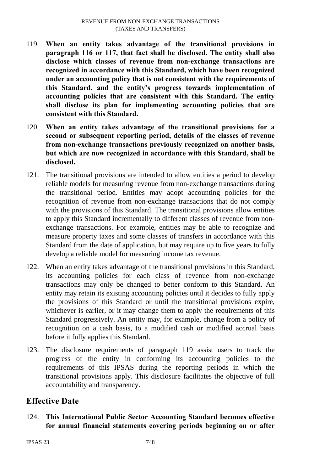- <span id="page-31-1"></span>119. **When an entity takes advantage of the transitional provisions in paragraph [116](#page-30-1) or [117,](#page-30-2) that fact shall be disclosed. The entity shall also disclose which classes of revenue from non-exchange transactions are recognized in accordance with this Standard, which have been recognized under an accounting policy that is not consistent with the requirements of this Standard, and the entity's progress towards implementation of accounting policies that are consistent with this Standard. The entity shall disclose its plan for implementing accounting policies that are consistent with this Standard.**
- 120. **When an entity takes advantage of the transitional provisions for a second or subsequent reporting period, details of the classes of revenue from non-exchange transactions previously recognized on another basis, but which are now recognized in accordance with this Standard, shall be disclosed.**
- 121. The transitional provisions are intended to allow entities a period to develop reliable models for measuring revenue from non-exchange transactions during the transitional period. Entities may adopt accounting policies for the recognition of revenue from non-exchange transactions that do not comply with the provisions of this Standard. The transitional provisions allow entities to apply this Standard incrementally to different classes of revenue from nonexchange transactions. For example, entities may be able to recognize and measure property taxes and some classes of transfers in accordance with this Standard from the date of application, but may require up to five years to fully develop a reliable model for measuring income tax revenue.
- 122. When an entity takes advantage of the transitional provisions in this Standard, its accounting policies for each class of revenue from non-exchange transactions may only be changed to better conform to this Standard. An entity may retain its existing accounting policies until it decides to fully apply the provisions of this Standard or until the transitional provisions expire, whichever is earlier, or it may change them to apply the requirements of this Standard progressively. An entity may, for example, change from a policy of recognition on a cash basis, to a modified cash or modified accrual basis before it fully applies this Standard.
- <span id="page-31-0"></span>123. The disclosure requirements of paragraph [119](#page-31-1) assist users to track the progress of the entity in conforming its accounting policies to the requirements of this IPSAS during the reporting periods in which the transitional provisions apply. This disclosure facilitates the objective of full accountability and transparency.

# **Effective Date**

124. **This International Public Sector Accounting Standard becomes effective for annual financial statements covering periods beginning on or after**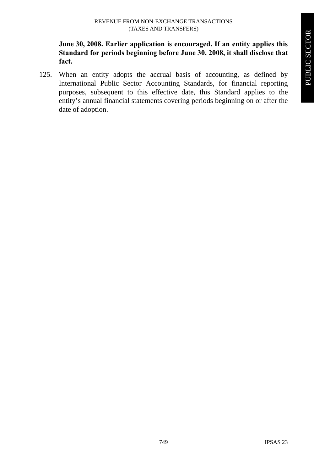**June 30, 2008. Earlier application is encouraged. If an entity applies this Standard for periods beginning before June 30, 2008, it shall disclose that fact.**

<span id="page-32-2"></span><span id="page-32-1"></span><span id="page-32-0"></span>125. When an entity adopts the accrual basis of accounting, as defined by International Public Sector Accounting Standards, for financial reporting purposes, subsequent to this effective date, this Standard applies to the entity's annual financial statements covering periods beginning on or after the date of adoption.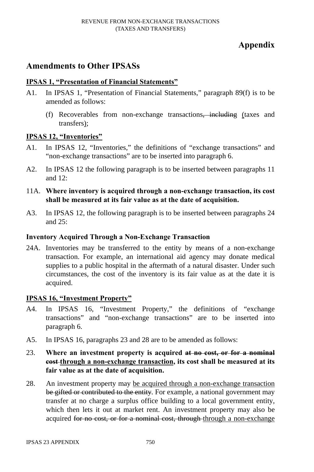# **Appendix**

# **Amendments to Other IPSASs**

#### **IPSAS 1, "Presentation of Financial Statements"**

- A1. In IPSAS 1, "Presentation of Financial Statements," paragraph 89(f) is to be amended as follows:
	- (f) Recoverables from non-exchange transactions, including (taxes and transfers);

#### **IPSAS 12, "Inventories"**

- A1. In IPSAS 12, "Inventories," the definitions of "exchange transactions" and "non-exchange transactions" are to be inserted into paragraph 6.
- A2. In IPSAS 12 the following paragraph is to be inserted between paragraphs 11 and 12:
- 11A. **Where inventory is acquired through a non-exchange transaction, its cost shall be measured at its fair value as at the date of acquisition.**
- A3. In IPSAS 12, the following paragraph is to be inserted between paragraphs 24 and 25:

#### **Inventory Acquired Through a Non-Exchange Transaction**

24A. Inventories may be transferred to the entity by means of a non-exchange transaction. For example, an international aid agency may donate medical supplies to a public hospital in the aftermath of a natural disaster. Under such circumstances, the cost of the inventory is its fair value as at the date it is acquired.

## **IPSAS 16, "Investment Property"**

- A4. In IPSAS 16, "Investment Property," the definitions of "exchange transactions" and "non-exchange transactions" are to be inserted into paragraph 6.
- A5. In IPSAS 16, paragraphs 23 and 28 are to be amended as follows:
- 23. **Where an investment property is acquired at no cost, or for a nominal cost through a non-exchange transaction, its cost shall be measured at its fair value as at the date of acquisition.**
- 28. An investment property may be acquired through a non-exchange transaction be gifted or contributed to the entity. For example, a national government may transfer at no charge a surplus office building to a local government entity, which then lets it out at market rent. An investment property may also be acquired for no cost, or for a nominal cost, through through a non-exchange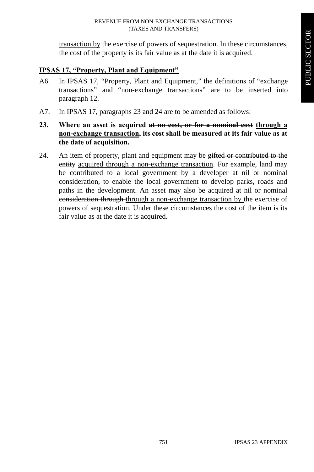transaction by the exercise of powers of sequestration. In these circumstances, the cost of the property is its fair value as at the date it is acquired.

## **IPSAS 17, "Property, Plant and Equipment"**

- A6. In IPSAS 17, "Property, Plant and Equipment," the definitions of "exchange transactions" and "non-exchange transactions" are to be inserted into paragraph 12.
- A7. In IPSAS 17, paragraphs 23 and 24 are to be amended as follows:
- **23. Where an asset is acquired at no cost, or for a nominal cost through a non-exchange transaction, its cost shall be measured at its fair value as at the date of acquisition.**
- 24. An item of property, plant and equipment may be gifted or contributed to the entity acquired through a non-exchange transaction. For example, land may be contributed to a local government by a developer at nil or nominal consideration, to enable the local government to develop parks, roads and paths in the development. An asset may also be acquired at nil or nominal consideration through through a non-exchange transaction by the exercise of powers of sequestration. Under these circumstances the cost of the item is its fair value as at the date it is acquired.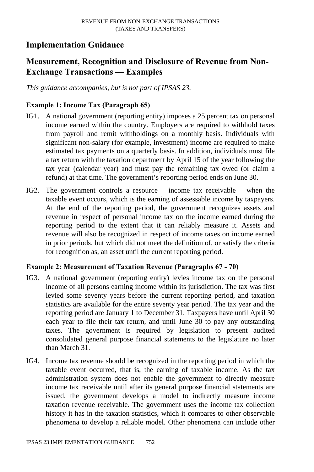# **Implementation Guidance**

# **Measurement, Recognition and Disclosure of Revenue from Non-Exchange Transactions — Examples**

*This guidance accompanies, but is not part of IPSAS 23.* 

### **Example 1: Income Tax (Paragraph [65](#page-20-0))**

- <span id="page-35-0"></span>IG1. A national government (reporting entity) imposes a 25 percent tax on personal income earned within the country. Employers are required to withhold taxes from payroll and remit withholdings on a monthly basis. Individuals with significant non-salary (for example, investment) income are required to make estimated tax payments on a quarterly basis. In addition, individuals must file a tax return with the taxation department by April 15 of the year following the tax year (calendar year) and must pay the remaining tax owed (or claim a refund) at that time. The government's reporting period ends on June 30.
- IG2. The government controls a resource income tax receivable when the taxable event occurs, which is the earning of assessable income by taxpayers. At the end of the reporting period, the government recognizes assets and revenue in respect of personal income tax on the income earned during the reporting period to the extent that it can reliably measure it. Assets and revenue will also be recognized in respect of income taxes on income earned in prior periods, but which did not meet the definition of, or satisfy the criteria for recognition as, an asset until the current reporting period.

#### **Example 2: Measurement of Taxation Revenue (Paragraphs [67](#page-21-0) - [70\)](#page-22-1)**

- IG3. A national government (reporting entity) levies income tax on the personal income of all persons earning income within its jurisdiction. The tax was first levied some seventy years before the current reporting period, and taxation statistics are available for the entire seventy year period. The tax year and the reporting period are January 1 to December 31. Taxpayers have until April 30 each year to file their tax return, and until June 30 to pay any outstanding taxes. The government is required by legislation to present audited consolidated general purpose financial statements to the legislature no later than March 31.
- IG4. Income tax revenue should be recognized in the reporting period in which the taxable event occurred, that is, the earning of taxable income. As the tax administration system does not enable the government to directly measure income tax receivable until after its general purpose financial statements are issued, the government develops a model to indirectly measure income taxation revenue receivable. The government uses the income tax collection history it has in the taxation statistics, which it compares to other observable phenomena to develop a reliable model. Other phenomena can include other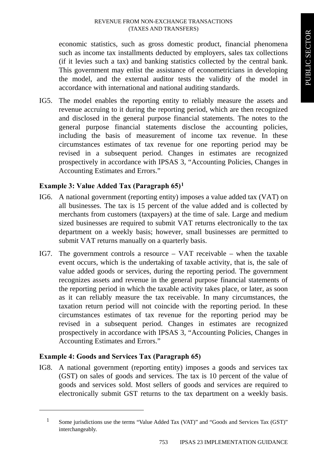economic statistics, such as gross domestic product, financial phenomena such as income tax installments deducted by employers, sales tax collections (if it levies such a tax) and banking statistics collected by the central bank. This government may enlist the assistance of econometricians in developing the model, and the external auditor tests the validity of the model in accordance with international and national auditing standards.

IG5. The model enables the reporting entity to reliably measure the assets and revenue accruing to it during the reporting period, which are then recognized and disclosed in the general purpose financial statements. The notes to the general purpose financial statements disclose the accounting policies, including the basis of measurement of income tax revenue. In these circumstances estimates of tax revenue for one reporting period may be revised in a subsequent period. Changes in estimates are recognized prospectively in accordance with IPSAS 3, "Accounting Policies, Changes in Accounting Estimates and Errors."

#### **Example 3: Value Added Tax (Paragraph [65](#page-20-0))[1](#page-36-0)**

- IG6. A national government (reporting entity) imposes a value added tax (VAT) on all businesses. The tax is 15 percent of the value added and is collected by merchants from customers (taxpayers) at the time of sale. Large and medium sized businesses are required to submit VAT returns electronically to the tax department on a weekly basis; however, small businesses are permitted to submit VAT returns manually on a quarterly basis.
- IG7. The government controls a resource VAT receivable when the taxable event occurs, which is the undertaking of taxable activity, that is, the sale of value added goods or services, during the reporting period. The government recognizes assets and revenue in the general purpose financial statements of the reporting period in which the taxable activity takes place, or later, as soon as it can reliably measure the tax receivable. In many circumstances, the taxation return period will not coincide with the reporting period. In these circumstances estimates of tax revenue for the reporting period may be revised in a subsequent period. Changes in estimates are recognized prospectively in accordance with IPSAS 3, "Accounting Policies, Changes in Accounting Estimates and Errors."

#### **Example 4: Goods and Services Tax (Paragraph [65\)](#page-20-0)**

<span id="page-36-0"></span>-

IG8. A national government (reporting entity) imposes a goods and services tax (GST) on sales of goods and services. The tax is 10 percent of the value of goods and services sold. Most sellers of goods and services are required to electronically submit GST returns to the tax department on a weekly basis.

<sup>&</sup>lt;sup>1</sup> Some jurisdictions use the terms "Value Added Tax (VAT)" and "Goods and Services Tax (GST)" interchangeably.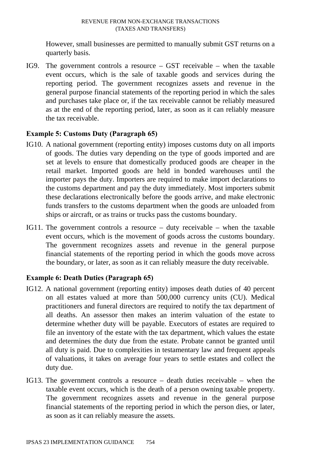However, small businesses are permitted to manually submit GST returns on a quarterly basis.

IG9. The government controls a resource – GST receivable – when the taxable event occurs, which is the sale of taxable goods and services during the reporting period. The government recognizes assets and revenue in the general purpose financial statements of the reporting period in which the sales and purchases take place or, if the tax receivable cannot be reliably measured as at the end of the reporting period, later, as soon as it can reliably measure the tax receivable.

#### **Example 5: Customs Duty (Paragraph [65](#page-20-0))**

- IG10. A national government (reporting entity) imposes customs duty on all imports of goods. The duties vary depending on the type of goods imported and are set at levels to ensure that domestically produced goods are cheaper in the retail market. Imported goods are held in bonded warehouses until the importer pays the duty. Importers are required to make import declarations to the customs department and pay the duty immediately. Most importers submit these declarations electronically before the goods arrive, and make electronic funds transfers to the customs department when the goods are unloaded from ships or aircraft, or as trains or trucks pass the customs boundary.
- IG11. The government controls a resource duty receivable when the taxable event occurs, which is the movement of goods across the customs boundary. The government recognizes assets and revenue in the general purpose financial statements of the reporting period in which the goods move across the boundary, or later, as soon as it can reliably measure the duty receivable.

#### **Example 6: Death Duties (Paragraph [65\)](#page-20-0)**

- IG12. A national government (reporting entity) imposes death duties of 40 percent on all estates valued at more than 500,000 currency units (CU). Medical practitioners and funeral directors are required to notify the tax department of all deaths. An assessor then makes an interim valuation of the estate to determine whether duty will be payable. Executors of estates are required to file an inventory of the estate with the tax department, which values the estate and determines the duty due from the estate. Probate cannot be granted until all duty is paid. Due to complexities in testamentary law and frequent appeals of valuations, it takes on average four years to settle estates and collect the duty due.
- IG13. The government controls a resource death duties receivable when the taxable event occurs, which is the death of a person owning taxable property. The government recognizes assets and revenue in the general purpose financial statements of the reporting period in which the person dies, or later, as soon as it can reliably measure the assets.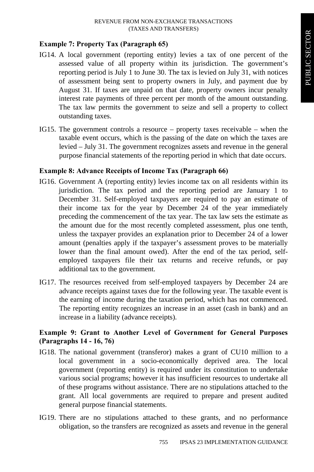### **Example 7: Property Tax (Paragraph [65\)](#page-20-0)**

- IG14. A local government (reporting entity) levies a tax of one percent of the assessed value of all property within its jurisdiction. The government's reporting period is July 1 to June 30. The tax is levied on July 31, with notices of assessment being sent to property owners in July, and payment due by August 31. If taxes are unpaid on that date, property owners incur penalty interest rate payments of three percent per month of the amount outstanding. The tax law permits the government to seize and sell a property to collect outstanding taxes.
- IG15. The government controls a resource property taxes receivable when the taxable event occurs, which is the passing of the date on which the taxes are levied – July 31. The government recognizes assets and revenue in the general purpose financial statements of the reporting period in which that date occurs.

#### **Example 8: Advance Receipts of Income Tax (Paragraph [66\)](#page-20-1)**

- IG16. Government A (reporting entity) levies income tax on all residents within its jurisdiction. The tax period and the reporting period are January 1 to December 31. Self-employed taxpayers are required to pay an estimate of their income tax for the year by December 24 of the year immediately preceding the commencement of the tax year. The tax law sets the estimate as the amount due for the most recently completed assessment, plus one tenth, unless the taxpayer provides an explanation prior to December 24 of a lower amount (penalties apply if the taxpayer's assessment proves to be materially lower than the final amount owed). After the end of the tax period, selfemployed taxpayers file their tax returns and receive refunds, or pay additional tax to the government.
- IG17. The resources received from self-employed taxpayers by December 24 are advance receipts against taxes due for the following year. The taxable event is the earning of income during the taxation period, which has not commenced. The reporting entity recognizes an increase in an asset (cash in bank) and an increase in a liability (advance receipts).

## **Example 9: Grant to Another Level of Government for General Purposes (Paragraphs [14](#page-8-2) - [16,](#page-8-3) [76\)](#page-23-0)**

- IG18. The national government (transferor) makes a grant of CU10 million to a local government in a socio-economically deprived area. The local government (reporting entity) is required under its constitution to undertake various social programs; however it has insufficient resources to undertake all of these programs without assistance. There are no stipulations attached to the grant. All local governments are required to prepare and present audited general purpose financial statements.
- IG19. There are no stipulations attached to these grants, and no performance obligation, so the transfers are recognized as assets and revenue in the general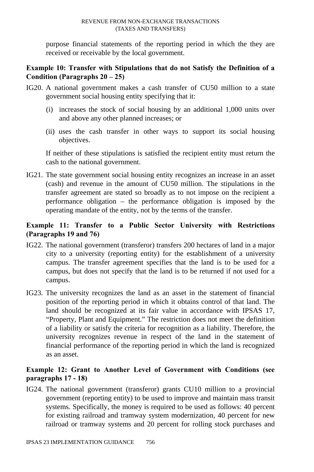purpose financial statements of the reporting period in which the they are received or receivable by the local government.

## **Example 10: Transfer with Stipulations that do not Satisfy the Definition of a Condition (Paragraphs 20 – 25)**

- IG20. A national government makes a cash transfer of CU50 million to a state government social housing entity specifying that it:
	- (i) increases the stock of social housing by an additional 1,000 units over and above any other planned increases; or
	- (ii) uses the cash transfer in other ways to support its social housing objectives.

If neither of these stipulations is satisfied the recipient entity must return the cash to the national government.

IG21. The state government social housing entity recognizes an increase in an asset (cash) and revenue in the amount of CU50 million. The stipulations in the transfer agreement are stated so broadly as to not impose on the recipient a performance obligation – the performance obligation is imposed by the operating mandate of the entity, not by the terms of the transfer.

## **Example 11: Transfer to a Public Sector University with Restrictions (Paragraphs [19](#page-9-2) and [76\)](#page-23-0)**

- IG22. The national government (transferor) transfers 200 hectares of land in a major city to a university (reporting entity) for the establishment of a university campus. The transfer agreement specifies that the land is to be used for a campus, but does not specify that the land is to be returned if not used for a campus.
- IG23. The university recognizes the land as an asset in the statement of financial position of the reporting period in which it obtains control of that land. The land should be recognized at its fair value in accordance with IPSAS 17, "Property, Plant and Equipment." The restriction does not meet the definition of a liability or satisfy the criteria for recognition as a liability. Therefore, the university recognizes revenue in respect of the land in the statement of financial performance of the reporting period in which the land is recognized as an asset.

## **Example 12: Grant to Another Level of Government with Conditions (see paragraphs [17](#page-9-0) - [18\)](#page-9-1)**

IG24. The national government (transferor) grants CU10 million to a provincial government (reporting entity) to be used to improve and maintain mass transit systems. Specifically, the money is required to be used as follows: 40 percent for existing railroad and tramway system modernization, 40 percent for new railroad or tramway systems and 20 percent for rolling stock purchases and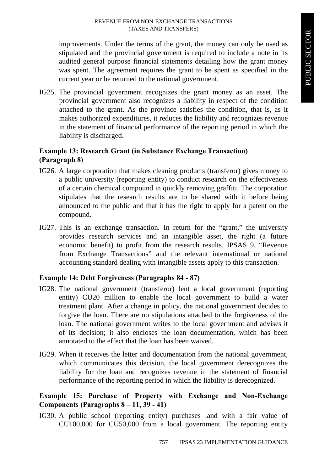improvements. Under the terms of the grant, the money can only be used as stipulated and the provincial government is required to include a note in its audited general purpose financial statements detailing how the grant money was spent. The agreement requires the grant to be spent as specified in the current year or be returned to the national government.

IG25. The provincial government recognizes the grant money as an asset. The provincial government also recognizes a liability in respect of the condition attached to the grant. As the province satisfies the condition, that is, as it makes authorized expenditures, it reduces the liability and recognizes revenue in the statement of financial performance of the reporting period in which the liability is discharged.

### **Example 13: Research Grant (in Substance Exchange Transaction) (Paragraph [8](#page-7-0))**

- IG26. A large corporation that makes cleaning products (transferor) gives money to a public university (reporting entity) to conduct research on the effectiveness of a certain chemical compound in quickly removing graffiti. The corporation stipulates that the research results are to be shared with it before being announced to the public and that it has the right to apply for a patent on the compound.
- IG27. This is an exchange transaction. In return for the "grant," the university provides research services and an intangible asset, the right (a future economic benefit) to profit from the research results. IPSAS 9, "Revenue from Exchange Transactions" and the relevant international or national accounting standard dealing with intangible assets apply to this transaction.

## **Example 14: Debt Forgiveness (Paragraphs [84](#page-24-1) - [87](#page-24-2))**

- IG28. The national government (transferor) lent a local government (reporting entity) CU20 million to enable the local government to build a water treatment plant. After a change in policy, the national government decides to forgive the loan. There are no stipulations attached to the forgiveness of the loan. The national government writes to the local government and advises it of its decision; it also encloses the loan documentation, which has been annotated to the effect that the loan has been waived.
- IG29. When it receives the letter and documentation from the national government, which communicates this decision, the local government derecognizes the liability for the loan and recognizes revenue in the statement of financial performance of the reporting period in which the liability is derecognized.

#### **Example 15: Purchase of Property with Exchange and Non-Exchange Components (Paragraphs [8](#page-7-0) – [11,](#page-7-1) [39](#page-16-1) - [41\)](#page-16-2)**

IG30. A public school (reporting entity) purchases land with a fair value of CU100,000 for CU50,000 from a local government. The reporting entity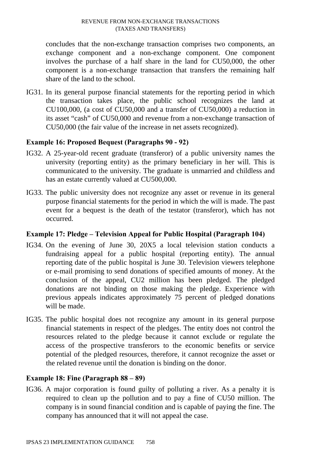concludes that the non-exchange transaction comprises two components, an exchange component and a non-exchange component. One component involves the purchase of a half share in the land for CU50,000, the other component is a non-exchange transaction that transfers the remaining half share of the land to the school.

IG31. In its general purpose financial statements for the reporting period in which the transaction takes place, the public school recognizes the land at CU100,000, (a cost of CU50,000 and a transfer of CU50,000) a reduction in its asset "cash" of CU50,000 and revenue from a non-exchange transaction of CU50,000 (the fair value of the increase in net assets recognized).

#### **Example 16: Proposed Bequest (Paragraphs [90](#page-25-2) - [92](#page-25-3))**

- IG32. A 25-year-old recent graduate (transferor) of a public university names the university (reporting entity) as the primary beneficiary in her will. This is communicated to the university. The graduate is unmarried and childless and has an estate currently valued at CU500,000.
- IG33. The public university does not recognize any asset or revenue in its general purpose financial statements for the period in which the will is made. The past event for a bequest is the death of the testator (transferor), which has not occurred.

### **Example 17: Pledge – Television Appeal for Public Hospital (Paragraph [104](#page-28-2))**

- IG34. On the evening of June 30, 20X5 a local television station conducts a fundraising appeal for a public hospital (reporting entity). The annual reporting date of the public hospital is June 30. Television viewers telephone or e-mail promising to send donations of specified amounts of money. At the conclusion of the appeal, CU2 million has been pledged. The pledged donations are not binding on those making the pledge. Experience with previous appeals indicates approximately 75 percent of pledged donations will be made.
- IG35. The public hospital does not recognize any amount in its general purpose financial statements in respect of the pledges. The entity does not control the resources related to the pledge because it cannot exclude or regulate the access of the prospective transferors to the economic benefits or service potential of the pledged resources, therefore, it cannot recognize the asset or the related revenue until the donation is binding on the donor.

#### **Example 18: Fine (Paragraph [88](#page-25-0) – [89](#page-25-1))**

IG36. A major corporation is found guilty of polluting a river. As a penalty it is required to clean up the pollution and to pay a fine of CU50 million. The company is in sound financial condition and is capable of paying the fine. The company has announced that it will not appeal the case.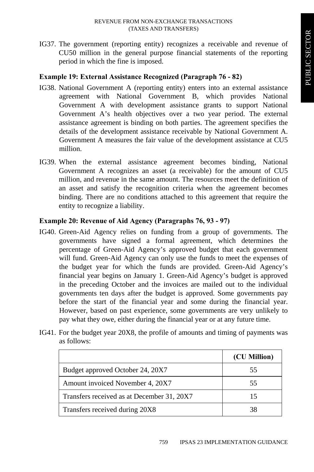IG37. The government (reporting entity) recognizes a receivable and revenue of CU50 million in the general purpose financial statements of the reporting period in which the fine is imposed.

### **Example 19: External Assistance Recognized (Paragraph [76](#page-23-0) - [82\)](#page-24-3)**

- IG38. National Government A (reporting entity) enters into an external assistance agreement with National Government B, which provides National Government A with development assistance grants to support National Government A's health objectives over a two year period. The external assistance agreement is binding on both parties. The agreement specifies the details of the development assistance receivable by National Government A. Government A measures the fair value of the development assistance at CU5 million.
- IG39. When the external assistance agreement becomes binding, National Government A recognizes an asset (a receivable) for the amount of CU5 million, and revenue in the same amount. The resources meet the definition of an asset and satisfy the recognition criteria when the agreement becomes binding. There are no conditions attached to this agreement that require the entity to recognize a liability.

#### **Example 20: Revenue of Aid Agency (Paragraphs [76](#page-23-0), [93](#page-26-0) - [97\)](#page-26-1)**

- IG40. Green-Aid Agency relies on funding from a group of governments. The governments have signed a formal agreement, which determines the percentage of Green-Aid Agency's approved budget that each government will fund. Green-Aid Agency can only use the funds to meet the expenses of the budget year for which the funds are provided. Green-Aid Agency's financial year begins on January 1. Green-Aid Agency's budget is approved in the preceding October and the invoices are mailed out to the individual governments ten days after the budget is approved. Some governments pay before the start of the financial year and some during the financial year. However, based on past experience, some governments are very unlikely to pay what they owe, either during the financial year or at any future time.
- IG41. For the budget year 20X8, the profile of amounts and timing of payments was as follows:

|                                            | (CU Million) |
|--------------------------------------------|--------------|
| Budget approved October 24, 20X7           | 55           |
| Amount invoiced November 4, 20X7           | 55           |
| Transfers received as at December 31, 20X7 | 15           |
| Transfers received during 20X8             | 38           |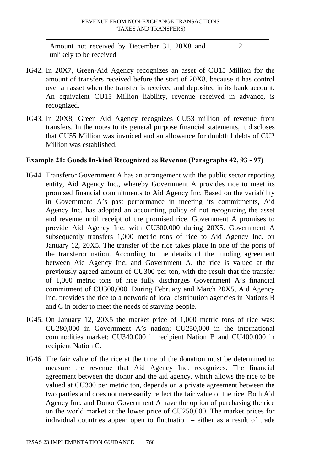| Amount not received by December 31, 20X8 and |  |
|----------------------------------------------|--|
| unlikely to be received                      |  |

- IG42. In 20X7, Green-Aid Agency recognizes an asset of CU15 Million for the amount of transfers received before the start of 20X8, because it has control over an asset when the transfer is received and deposited in its bank account. An equivalent CU15 Million liability, revenue received in advance, is recognized.
- IG43. In 20X8, Green Aid Agency recognizes CU53 million of revenue from transfers. In the notes to its general purpose financial statements, it discloses that CU55 Million was invoiced and an allowance for doubtful debts of CU2 Million was established.

#### **Example 21: Goods In-kind Recognized as Revenue (Paragraphs [42,](#page-16-3) [93](#page-26-0) - [97](#page-26-1))**

- IG44. Transferor Government A has an arrangement with the public sector reporting entity, Aid Agency Inc., whereby Government A provides rice to meet its promised financial commitments to Aid Agency Inc. Based on the variability in Government A's past performance in meeting its commitments, Aid Agency Inc. has adopted an accounting policy of not recognizing the asset and revenue until receipt of the promised rice. Government A promises to provide Aid Agency Inc. with CU300,000 during 20X5. Government A subsequently transfers 1,000 metric tons of rice to Aid Agency Inc. on January 12, 20X5. The transfer of the rice takes place in one of the ports of the transferor nation. According to the details of the funding agreement between Aid Agency Inc. and Government A, the rice is valued at the previously agreed amount of CU300 per ton, with the result that the transfer of 1,000 metric tons of rice fully discharges Government A's financial commitment of CU300,000. During February and March 20X5, Aid Agency Inc. provides the rice to a network of local distribution agencies in Nations B and C in order to meet the needs of starving people.
- IG45. On January 12, 20X5 the market price of 1,000 metric tons of rice was: CU280,000 in Government A's nation; CU250,000 in the international commodities market; CU340,000 in recipient Nation B and CU400,000 in recipient Nation C.
- IG46. The fair value of the rice at the time of the donation must be determined to measure the revenue that Aid Agency Inc. recognizes. The financial agreement between the donor and the aid agency, which allows the rice to be valued at CU300 per metric ton, depends on a private agreement between the two parties and does not necessarily reflect the fair value of the rice. Both Aid Agency Inc. and Donor Government A have the option of purchasing the rice on the world market at the lower price of CU250,000. The market prices for individual countries appear open to fluctuation – either as a result of trade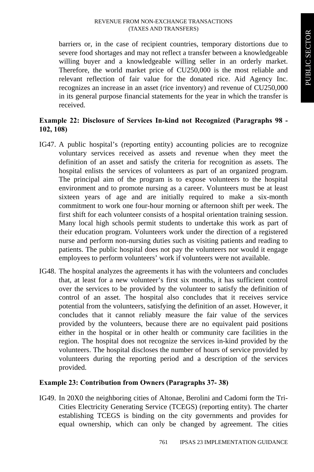barriers or, in the case of recipient countries, temporary distortions due to severe food shortages and may not reflect a transfer between a knowledgeable willing buyer and a knowledgeable willing seller in an orderly market. Therefore, the world market price of CU250,000 is the most reliable and relevant reflection of fair value for the donated rice. Aid Agency Inc. recognizes an increase in an asset (rice inventory) and revenue of CU250,000 in its general purpose financial statements for the year in which the transfer is received.

### **Example 22: Disclosure of Services In-kind not Recognized (Paragraphs [98](#page-26-2) - [102](#page-27-1), [108](#page-29-0))**

- IG47. A public hospital's (reporting entity) accounting policies are to recognize voluntary services received as assets and revenue when they meet the definition of an asset and satisfy the criteria for recognition as assets. The hospital enlists the services of volunteers as part of an organized program. The principal aim of the program is to expose volunteers to the hospital environment and to promote nursing as a career. Volunteers must be at least sixteen years of age and are initially required to make a six-month commitment to work one four-hour morning or afternoon shift per week. The first shift for each volunteer consists of a hospital orientation training session. Many local high schools permit students to undertake this work as part of their education program. Volunteers work under the direction of a registered nurse and perform non-nursing duties such as visiting patients and reading to patients. The public hospital does not pay the volunteers nor would it engage employees to perform volunteers' work if volunteers were not available.
- IG48. The hospital analyzes the agreements it has with the volunteers and concludes that, at least for a new volunteer's first six months, it has sufficient control over the services to be provided by the volunteer to satisfy the definition of control of an asset. The hospital also concludes that it receives service potential from the volunteers, satisfying the definition of an asset. However, it concludes that it cannot reliably measure the fair value of the services provided by the volunteers, because there are no equivalent paid positions either in the hospital or in other health or community care facilities in the region. The hospital does not recognize the services in-kind provided by the volunteers. The hospital discloses the number of hours of service provided by volunteers during the reporting period and a description of the services provided.

#### **Example 23: Contribution from Owners (Paragraphs [37-](#page-15-3) [38\)](#page-15-4)**

IG49. In 20X0 the neighboring cities of Altonae, Berolini and Cadomi form the Tri-Cities Electricity Generating Service (TCEGS) (reporting entity). The charter establishing TCEGS is binding on the city governments and provides for equal ownership, which can only be changed by agreement. The cities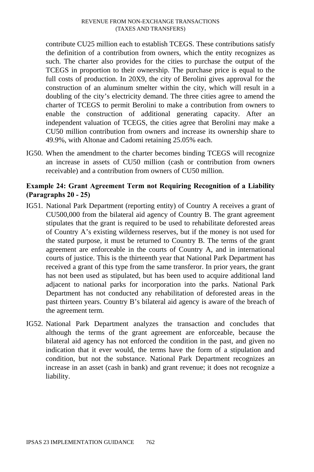contribute CU25 million each to establish TCEGS. These contributions satisfy the definition of a contribution from owners, which the entity recognizes as such. The charter also provides for the cities to purchase the output of the TCEGS in proportion to their ownership. The purchase price is equal to the full costs of production. In 20X9, the city of Berolini gives approval for the construction of an aluminum smelter within the city, which will result in a doubling of the city's electricity demand. The three cities agree to amend the charter of TCEGS to permit Berolini to make a contribution from owners to enable the construction of additional generating capacity. After an independent valuation of TCEGS, the cities agree that Berolini may make a CU50 million contribution from owners and increase its ownership share to 49.9%, with Altonae and Cadomi retaining 25.05% each.

IG50. When the amendment to the charter becomes binding TCEGS will recognize an increase in assets of CU50 million (cash or contribution from owners receivable) and a contribution from owners of CU50 million.

### **Example 24: Grant Agreement Term not Requiring Recognition of a Liability (Paragraphs [20](#page-10-0) - [25\)](#page-11-1)**

- IG51. National Park Department (reporting entity) of Country A receives a grant of CU500,000 from the bilateral aid agency of Country B. The grant agreement stipulates that the grant is required to be used to rehabilitate deforested areas of Country A's existing wilderness reserves, but if the money is not used for the stated purpose, it must be returned to Country B. The terms of the grant agreement are enforceable in the courts of Country A, and in international courts of justice. This is the thirteenth year that National Park Department has received a grant of this type from the same transferor. In prior years, the grant has not been used as stipulated, but has been used to acquire additional land adjacent to national parks for incorporation into the parks. National Park Department has not conducted any rehabilitation of deforested areas in the past thirteen years. Country B's bilateral aid agency is aware of the breach of the agreement term.
- IG52. National Park Department analyzes the transaction and concludes that although the terms of the grant agreement are enforceable, because the bilateral aid agency has not enforced the condition in the past, and given no indication that it ever would, the terms have the form of a stipulation and condition, but not the substance. National Park Department recognizes an increase in an asset (cash in bank) and grant revenue; it does not recognize a liability.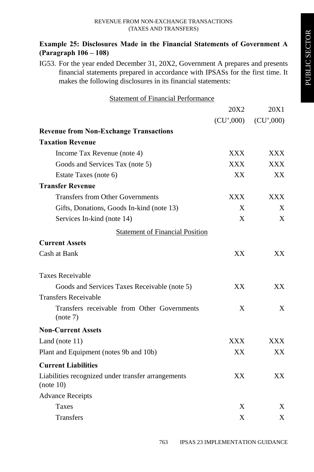# **Example 25: Disclosures Made in the Financial Statements of Government A (Paragraph [106](#page-28-3) – [108\)](#page-29-0)**

<span id="page-46-0"></span>IG53. For the year ended December 31, 20X2, Government A prepares and presents financial statements prepared in accordance with IPSASs for the first time. It makes the following disclosures in its financial statements:

| <b>Statement of Financial Performance</b>                       |            |              |
|-----------------------------------------------------------------|------------|--------------|
|                                                                 | 20X2       | 20X1         |
|                                                                 | (CU',000)  | (CU',000)    |
| <b>Revenue from Non-Exchange Transactions</b>                   |            |              |
| <b>Taxation Revenue</b>                                         |            |              |
| Income Tax Revenue (note 4)                                     | <b>XXX</b> | <b>XXX</b>   |
| Goods and Services Tax (note 5)                                 | XXX        | XXX.         |
| Estate Taxes (note 6)                                           | XX         | XX           |
| <b>Transfer Revenue</b>                                         |            |              |
| <b>Transfers from Other Governments</b>                         | XXX        | XXX          |
| Gifts, Donations, Goods In-kind (note 13)                       | X          | X            |
| Services In-kind (note 14)                                      | X          | $\mathbf{X}$ |
| <b>Statement of Financial Position</b>                          |            |              |
| <b>Current Assets</b>                                           |            |              |
| Cash at Bank                                                    | XX         | XX.          |
| Taxes Receivable                                                |            |              |
| Goods and Services Taxes Receivable (note 5)                    | XX         | XX.          |
| Transfers Receivable                                            |            |              |
| Transfers receivable from Other Governments<br>(note 7)         | X          | X            |
| <b>Non-Current Assets</b>                                       |            |              |
| Land (note 11)                                                  | XXX        | XXX.         |
| Plant and Equipment (notes 9b and 10b)                          | XX         | XX.          |
| <b>Current Liabilities</b>                                      |            |              |
| Liabilities recognized under transfer arrangements<br>(note 10) | XX         | XX.          |
| <b>Advance Receipts</b>                                         |            |              |
| <b>Taxes</b>                                                    | X          | X            |
| <b>Transfers</b>                                                | X          | X            |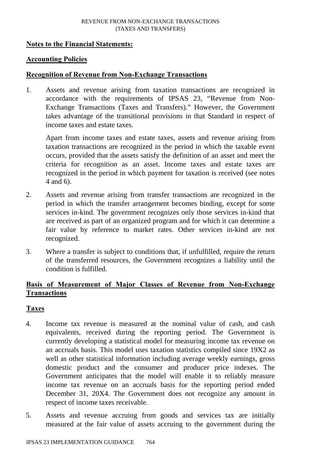#### **Notes to the Financial Statements:**

#### **Accounting Policies**

#### **Recognition of Revenue from Non-Exchange Transactions**

1. Assets and revenue arising from taxation transactions are recognized in accordance with the requirements of IPSAS 23, "Revenue from Non-Exchange Transactions (Taxes and Transfers)." However, the Government takes advantage of the transitional provisions in that Standard in respect of income taxes and estate taxes.

Apart from income taxes and estate taxes, assets and revenue arising from taxation transactions are recognized in the period in which the taxable event occurs, provided that the assets satisfy the definition of an asset and meet the criteria for recognition as an asset. Income taxes and estate taxes are recognized in the period in which payment for taxation is received (see notes 4 and 6).

- 2. Assets and revenue arising from transfer transactions are recognized in the period in which the transfer arrangement becomes binding, except for some services in-kind. The government recognizes only those services in-kind that are received as part of an organized program and for which it can determine a fair value by reference to market rates. Other services in-kind are not recognized.
- 3. Where a transfer is subject to conditions that, if unfulfilled, require the return of the transferred resources, the Government recognizes a liability until the condition is fulfilled.

#### **Basis of Measurement of Major Classes of Revenue from Non-Exchange Transactions**

#### **Taxes**

- 4. Income tax revenue is measured at the nominal value of cash, and cash equivalents, received during the reporting period. The Government is currently developing a statistical model for measuring income tax revenue on an accruals basis. This model uses taxation statistics compiled since 19X2 as well as other statistical information including average weekly earnings, gross domestic product and the consumer and producer price indexes. The Government anticipates that the model will enable it to reliably measure income tax revenue on an accruals basis for the reporting period ended December 31, 20X4. The Government does not recognize any amount in respect of income taxes receivable.
- 5. Assets and revenue accruing from goods and services tax are initially measured at the fair value of assets accruing to the government during the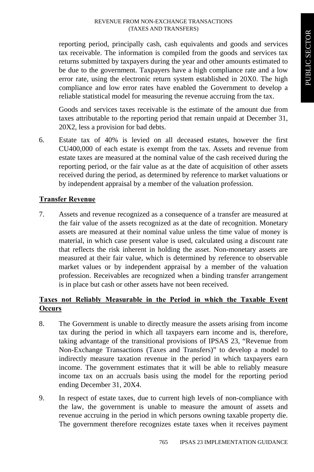reporting period, principally cash, cash equivalents and goods and services tax receivable. The information is compiled from the goods and services tax returns submitted by taxpayers during the year and other amounts estimated to be due to the government. Taxpayers have a high compliance rate and a low error rate, using the electronic return system established in 20X0. The high compliance and low error rates have enabled the Government to develop a reliable statistical model for measuring the revenue accruing from the tax.

 Goods and services taxes receivable is the estimate of the amount due from taxes attributable to the reporting period that remain unpaid at December 31, 20X2, less a provision for bad debts.

6. Estate tax of 40% is levied on all deceased estates, however the first CU400,000 of each estate is exempt from the tax. Assets and revenue from estate taxes are measured at the nominal value of the cash received during the reporting period, or the fair value as at the date of acquisition of other assets received during the period, as determined by reference to market valuations or by independent appraisal by a member of the valuation profession.

#### **Transfer Revenue**

7. Assets and revenue recognized as a consequence of a transfer are measured at the fair value of the assets recognized as at the date of recognition. Monetary assets are measured at their nominal value unless the time value of money is material, in which case present value is used, calculated using a discount rate that reflects the risk inherent in holding the asset. Non-monetary assets are measured at their fair value, which is determined by reference to observable market values or by independent appraisal by a member of the valuation profession. Receivables are recognized when a binding transfer arrangement is in place but cash or other assets have not been received.

## **Taxes not Reliably Measurable in the Period in which the Taxable Event Occurs**

- 8. The Government is unable to directly measure the assets arising from income tax during the period in which all taxpayers earn income and is, therefore, taking advantage of the transitional provisions of IPSAS 23, "Revenue from Non-Exchange Transactions (Taxes and Transfers)" to develop a model to indirectly measure taxation revenue in the period in which taxpayers earn income. The government estimates that it will be able to reliably measure income tax on an accruals basis using the model for the reporting period ending December 31, 20X4.
- 9. In respect of estate taxes, due to current high levels of non-compliance with the law, the government is unable to measure the amount of assets and revenue accruing in the period in which persons owning taxable property die. The government therefore recognizes estate taxes when it receives payment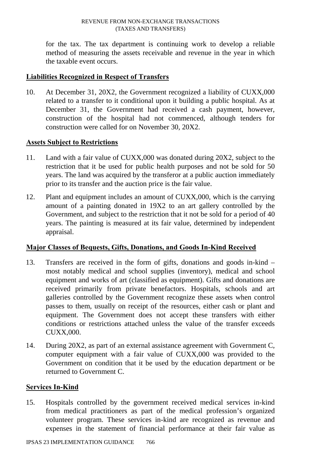for the tax. The tax department is continuing work to develop a reliable method of measuring the assets receivable and revenue in the year in which the taxable event occurs.

#### **Liabilities Recognized in Respect of Transfers**

10. At December 31, 20X2, the Government recognized a liability of CUXX,000 related to a transfer to it conditional upon it building a public hospital. As at December 31, the Government had received a cash payment, however, construction of the hospital had not commenced, although tenders for construction were called for on November 30, 20X2.

#### **Assets Subject to Restrictions**

- 11. Land with a fair value of CUXX,000 was donated during 20X2, subject to the restriction that it be used for public health purposes and not be sold for 50 years. The land was acquired by the transferor at a public auction immediately prior to its transfer and the auction price is the fair value.
- 12. Plant and equipment includes an amount of CUXX,000, which is the carrying amount of a painting donated in 19X2 to an art gallery controlled by the Government, and subject to the restriction that it not be sold for a period of 40 years. The painting is measured at its fair value, determined by independent appraisal.

## **Major Classes of Bequests, Gifts, Donations, and Goods In-Kind Received**

- 13. Transfers are received in the form of gifts, donations and goods in-kind most notably medical and school supplies (inventory), medical and school equipment and works of art (classified as equipment). Gifts and donations are received primarily from private benefactors. Hospitals, schools and art galleries controlled by the Government recognize these assets when control passes to them, usually on receipt of the resources, either cash or plant and equipment. The Government does not accept these transfers with either conditions or restrictions attached unless the value of the transfer exceeds CUXX,000.
- 14. During 20X2, as part of an external assistance agreement with Government C, computer equipment with a fair value of CUXX,000 was provided to the Government on condition that it be used by the education department or be returned to Government C.

## **Services In-Kind**

15. Hospitals controlled by the government received medical services in-kind from medical practitioners as part of the medical profession's organized volunteer program. These services in-kind are recognized as revenue and expenses in the statement of financial performance at their fair value as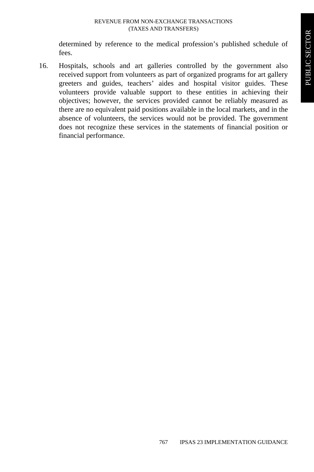determined by reference to the medical profession's published schedule of fees.

16. Hospitals, schools and art galleries controlled by the government also received support from volunteers as part of organized programs for art gallery greeters and guides, teachers' aides and hospital visitor guides. These volunteers provide valuable support to these entities in achieving their objectives; however, the services provided cannot be reliably measured as there are no equivalent paid positions available in the local markets, and in the absence of volunteers, the services would not be provided. The government does not recognize these services in the statements of financial position or financial performance.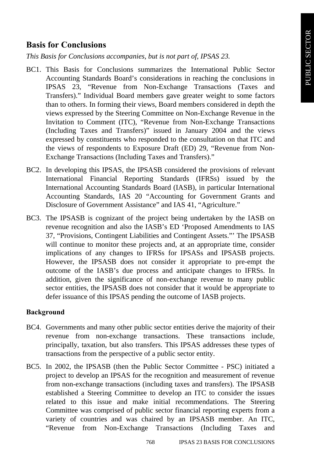# **Basis for Conclusions**

*This Basis for Conclusions accompanies, but is not part of, IPSAS 23.* 

- <span id="page-51-0"></span>BC1. This Basis for Conclusions summarizes the International Public Sector Accounting Standards Board's considerations in reaching the conclusions in IPSAS 23, "Revenue from Non-Exchange Transactions (Taxes and Transfers)." Individual Board members gave greater weight to some factors than to others. In forming their views, Board members considered in depth the views expressed by the Steering Committee on Non-Exchange Revenue in the Invitation to Comment (ITC), "Revenue from Non-Exchange Transactions (Including Taxes and Transfers)" issued in January 2004 and the views expressed by constituents who responded to the consultation on that ITC and the views of respondents to Exposure Draft (ED) 29, "Revenue from Non-Exchange Transactions (Including Taxes and Transfers)."
- BC2. In developing this IPSAS, the IPSASB considered the provisions of relevant International Financial Reporting Standards (IFRSs) issued by the International Accounting Standards Board (IASB), in particular International Accounting Standards, IAS 20 "Accounting for Government Grants and Disclosure of Government Assistance" and IAS 41, "Agriculture."
- BC3. The IPSASB is cognizant of the project being undertaken by the IASB on revenue recognition and also the IASB's ED 'Proposed Amendments to IAS 37, "Provisions, Contingent Liabilities and Contingent Assets."' The IPSASB will continue to monitor these projects and, at an appropriate time, consider implications of any changes to IFRSs for IPSASs and IPSASB projects. However, the IPSASB does not consider it appropriate to pre-empt the outcome of the IASB's due process and anticipate changes to IFRSs. In addition, given the significance of non-exchange revenue to many public sector entities, the IPSASB does not consider that it would be appropriate to defer issuance of this IPSAS pending the outcome of IASB projects.

#### **Background**

- BC4. Governments and many other public sector entities derive the majority of their revenue from non-exchange transactions. These transactions include, principally, taxation, but also transfers. This IPSAS addresses these types of transactions from the perspective of a public sector entity.
- BC5. In 2002, the IPSASB (then the Public Sector Committee PSC) initiated a project to develop an IPSAS for the recognition and measurement of revenue from non-exchange transactions (including taxes and transfers). The IPSASB established a Steering Committee to develop an ITC to consider the issues related to this issue and make initial recommendations. The Steering Committee was comprised of public sector financial reporting experts from a variety of countries and was chaired by an IPSASB member. An ITC, "Revenue from Non-Exchange Transactions (Including Taxes and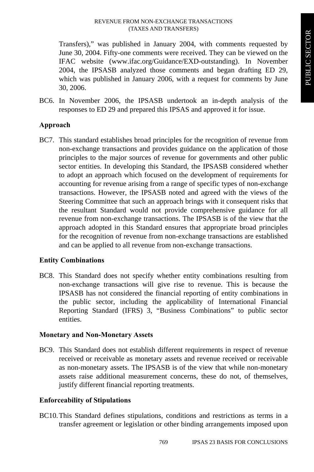Transfers)," was published in January 2004, with comments requested by June 30, 2004. Fifty-one comments were received. They can be viewed on the IFAC website (www.ifac.org/Guidance/EXD-outstanding). In November 2004, the IPSASB analyzed those comments and began drafting ED 29, which was published in January 2006, with a request for comments by June 30, 2006.

BC6. In November 2006, the IPSASB undertook an in-depth analysis of the responses to ED 29 and prepared this IPSAS and approved it for issue.

#### **Approach**

BC7. This standard establishes broad principles for the recognition of revenue from non-exchange transactions and provides guidance on the application of those principles to the major sources of revenue for governments and other public sector entities. In developing this Standard, the IPSASB considered whether to adopt an approach which focused on the development of requirements for accounting for revenue arising from a range of specific types of non-exchange transactions. However, the IPSASB noted and agreed with the views of the Steering Committee that such an approach brings with it consequent risks that the resultant Standard would not provide comprehensive guidance for all revenue from non-exchange transactions. The IPSASB is of the view that the approach adopted in this Standard ensures that appropriate broad principles for the recognition of revenue from non-exchange transactions are established and can be applied to all revenue from non-exchange transactions.

## **Entity Combinations**

BC8. This Standard does not specify whether entity combinations resulting from non-exchange transactions will give rise to revenue. This is because the IPSASB has not considered the financial reporting of entity combinations in the public sector, including the applicability of International Financial Reporting Standard (IFRS) 3, "Business Combinations" to public sector entities.

#### **Monetary and Non-Monetary Assets**

BC9. This Standard does not establish different requirements in respect of revenue received or receivable as monetary assets and revenue received or receivable as non-monetary assets. The IPSASB is of the view that while non-monetary assets raise additional measurement concerns, these do not, of themselves, justify different financial reporting treatments.

## **Enforceability of Stipulations**

BC10.This Standard defines stipulations, conditions and restrictions as terms in a transfer agreement or legislation or other binding arrangements imposed upon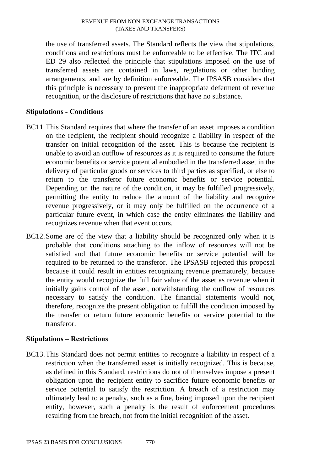the use of transferred assets. The Standard reflects the view that stipulations, conditions and restrictions must be enforceable to be effective. The ITC and ED 29 also reflected the principle that stipulations imposed on the use of transferred assets are contained in laws, regulations or other binding arrangements, and are by definition enforceable. The IPSASB considers that this principle is necessary to prevent the inappropriate deferment of revenue recognition, or the disclosure of restrictions that have no substance.

#### **Stipulations - Conditions**

- BC11.This Standard requires that where the transfer of an asset imposes a condition on the recipient, the recipient should recognize a liability in respect of the transfer on initial recognition of the asset. This is because the recipient is unable to avoid an outflow of resources as it is required to consume the future economic benefits or service potential embodied in the transferred asset in the delivery of particular goods or services to third parties as specified, or else to return to the transferor future economic benefits or service potential. Depending on the nature of the condition, it may be fulfilled progressively, permitting the entity to reduce the amount of the liability and recognize revenue progressively, or it may only be fulfilled on the occurrence of a particular future event, in which case the entity eliminates the liability and recognizes revenue when that event occurs.
- BC12.Some are of the view that a liability should be recognized only when it is probable that conditions attaching to the inflow of resources will not be satisfied and that future economic benefits or service potential will be required to be returned to the transferor. The IPSASB rejected this proposal because it could result in entities recognizing revenue prematurely, because the entity would recognize the full fair value of the asset as revenue when it initially gains control of the asset, notwithstanding the outflow of resources necessary to satisfy the condition. The financial statements would not, therefore, recognize the present obligation to fulfill the condition imposed by the transfer or return future economic benefits or service potential to the transferor.

#### **Stipulations – Restrictions**

BC13.This Standard does not permit entities to recognize a liability in respect of a restriction when the transferred asset is initially recognized. This is because, as defined in this Standard, restrictions do not of themselves impose a present obligation upon the recipient entity to sacrifice future economic benefits or service potential to satisfy the restriction. A breach of a restriction may ultimately lead to a penalty, such as a fine, being imposed upon the recipient entity, however, such a penalty is the result of enforcement procedures resulting from the breach, not from the initial recognition of the asset.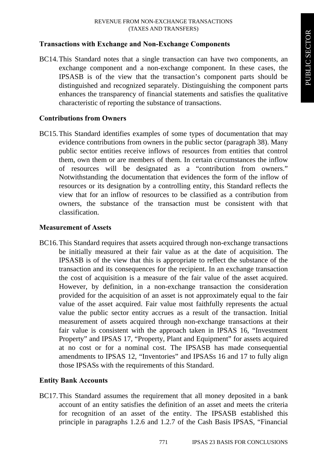#### **Transactions with Exchange and Non-Exchange Components**

BC14.This Standard notes that a single transaction can have two components, an exchange component and a non-exchange component. In these cases, the IPSASB is of the view that the transaction's component parts should be distinguished and recognized separately. Distinguishing the component parts enhances the transparency of financial statements and satisfies the qualitative characteristic of reporting the substance of transactions.

#### **Contributions from Owners**

BC15.This Standard identifies examples of some types of documentation that may evidence contributions from owners in the public sector (paragraph [38](#page-15-4)). Many public sector entities receive inflows of resources from entities that control them, own them or are members of them. In certain circumstances the inflow of resources will be designated as a "contribution from owners." Notwithstanding the documentation that evidences the form of the inflow of resources or its designation by a controlling entity, this Standard reflects the view that for an inflow of resources to be classified as a contribution from owners, the substance of the transaction must be consistent with that classification.

#### **Measurement of Assets**

BC16.This Standard requires that assets acquired through non-exchange transactions be initially measured at their fair value as at the date of acquisition. The IPSASB is of the view that this is appropriate to reflect the substance of the transaction and its consequences for the recipient. In an exchange transaction the cost of acquisition is a measure of the fair value of the asset acquired. However, by definition, in a non-exchange transaction the consideration provided for the acquisition of an asset is not approximately equal to the fair value of the asset acquired. Fair value most faithfully represents the actual value the public sector entity accrues as a result of the transaction. Initial measurement of assets acquired through non-exchange transactions at their fair value is consistent with the approach taken in IPSAS 16, "Investment Property" and IPSAS 17, "Property, Plant and Equipment" for assets acquired at no cost or for a nominal cost. The IPSASB has made consequential amendments to IPSAS 12, "Inventories" and IPSASs 16 and 17 to fully align those IPSASs with the requirements of this Standard.

#### **Entity Bank Accounts**

BC17.This Standard assumes the requirement that all money deposited in a bank account of an entity satisfies the definition of an asset and meets the criteria for recognition of an asset of the entity. The IPSASB established this principle in paragraphs 1.2.6 and 1.2.7 of the Cash Basis IPSAS, "Financial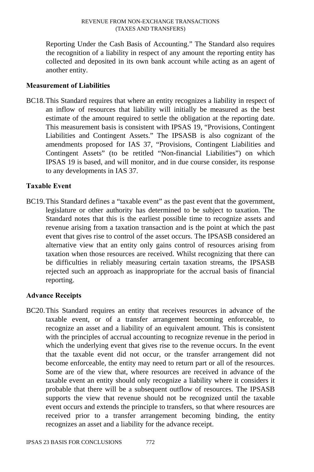Reporting Under the Cash Basis of Accounting." The Standard also requires the recognition of a liability in respect of any amount the reporting entity has collected and deposited in its own bank account while acting as an agent of another entity.

#### **Measurement of Liabilities**

BC18.This Standard requires that where an entity recognizes a liability in respect of an inflow of resources that liability will initially be measured as the best estimate of the amount required to settle the obligation at the reporting date. This measurement basis is consistent with IPSAS 19, "Provisions, Contingent Liabilities and Contingent Assets." The IPSASB is also cognizant of the amendments proposed for IAS 37, "Provisions, Contingent Liabilities and Contingent Assets" (to be retitled "Non-financial Liabilities") on which IPSAS 19 is based, and will monitor, and in due course consider, its response to any developments in IAS 37.

#### **Taxable Event**

BC19.This Standard defines a "taxable event" as the past event that the government, legislature or other authority has determined to be subject to taxation. The Standard notes that this is the earliest possible time to recognize assets and revenue arising from a taxation transaction and is the point at which the past event that gives rise to control of the asset occurs. The IPSASB considered an alternative view that an entity only gains control of resources arising from taxation when those resources are received. Whilst recognizing that there can be difficulties in reliably measuring certain taxation streams, the IPSASB rejected such an approach as inappropriate for the accrual basis of financial reporting.

#### **Advance Receipts**

BC20.This Standard requires an entity that receives resources in advance of the taxable event, or of a transfer arrangement becoming enforceable, to recognize an asset and a liability of an equivalent amount. This is consistent with the principles of accrual accounting to recognize revenue in the period in which the underlying event that gives rise to the revenue occurs. In the event that the taxable event did not occur, or the transfer arrangement did not become enforceable, the entity may need to return part or all of the resources. Some are of the view that, where resources are received in advance of the taxable event an entity should only recognize a liability where it considers it probable that there will be a subsequent outflow of resources. The IPSASB supports the view that revenue should not be recognized until the taxable event occurs and extends the principle to transfers, so that where resources are received prior to a transfer arrangement becoming binding, the entity recognizes an asset and a liability for the advance receipt.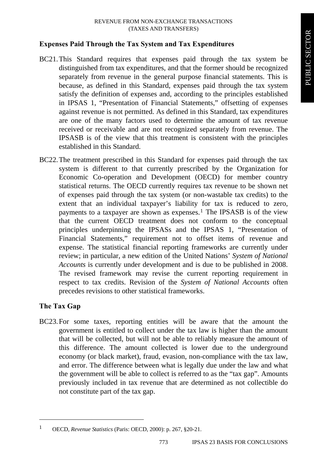#### **Expenses Paid Through the Tax System and Tax Expenditures**

- BC21.This Standard requires that expenses paid through the tax system be distinguished from tax expenditures, and that the former should be recognized separately from revenue in the general purpose financial statements. This is because, as defined in this Standard, expenses paid through the tax system satisfy the definition of expenses and, according to the principles established in IPSAS 1, "Presentation of Financial Statements," offsetting of expenses against revenue is not permitted. As defined in this Standard, tax expenditures are one of the many factors used to determine the amount of tax revenue received or receivable and are not recognized separately from revenue. The IPSASB is of the view that this treatment is consistent with the principles established in this Standard.
- BC22.The treatment prescribed in this Standard for expenses paid through the tax system is different to that currently prescribed by the Organization for Economic Co-operation and Development (OECD) for member country statistical returns. The OECD currently requires tax revenue to be shown net of expenses paid through the tax system (or non-wastable tax credits) to the extent that an individual taxpayer's liability for tax is reduced to zero, payments to a taxpayer are shown as expenses.<sup>[1](#page-56-0)</sup> The IPSASB is of the view that the current OECD treatment does not conform to the conceptual principles underpinning the IPSASs and the IPSAS 1, "Presentation of Financial Statements," requirement not to offset items of revenue and expense. The statistical financial reporting frameworks are currently under review; in particular, a new edition of the United Nations' *System of National Accounts* is currently under development and is due to be published in 2008. The revised framework may revise the current reporting requirement in respect to tax credits. Revision of the *System of National Accounts* often precedes revisions to other statistical frameworks.

#### **The Tax Gap**

 $\overline{\phantom{a}}$ 

BC23.For some taxes, reporting entities will be aware that the amount the government is entitled to collect under the tax law is higher than the amount that will be collected, but will not be able to reliably measure the amount of this difference. The amount collected is lower due to the underground economy (or black market), fraud, evasion, non-compliance with the tax law, and error. The difference between what is legally due under the law and what the government will be able to collect is referred to as the "tax gap". Amounts previously included in tax revenue that are determined as not collectible do not constitute part of the tax gap.

<span id="page-56-0"></span><sup>1</sup> OECD, *Revenue Statistics* (Paris: OECD, 2000): p. 267, §20-21.